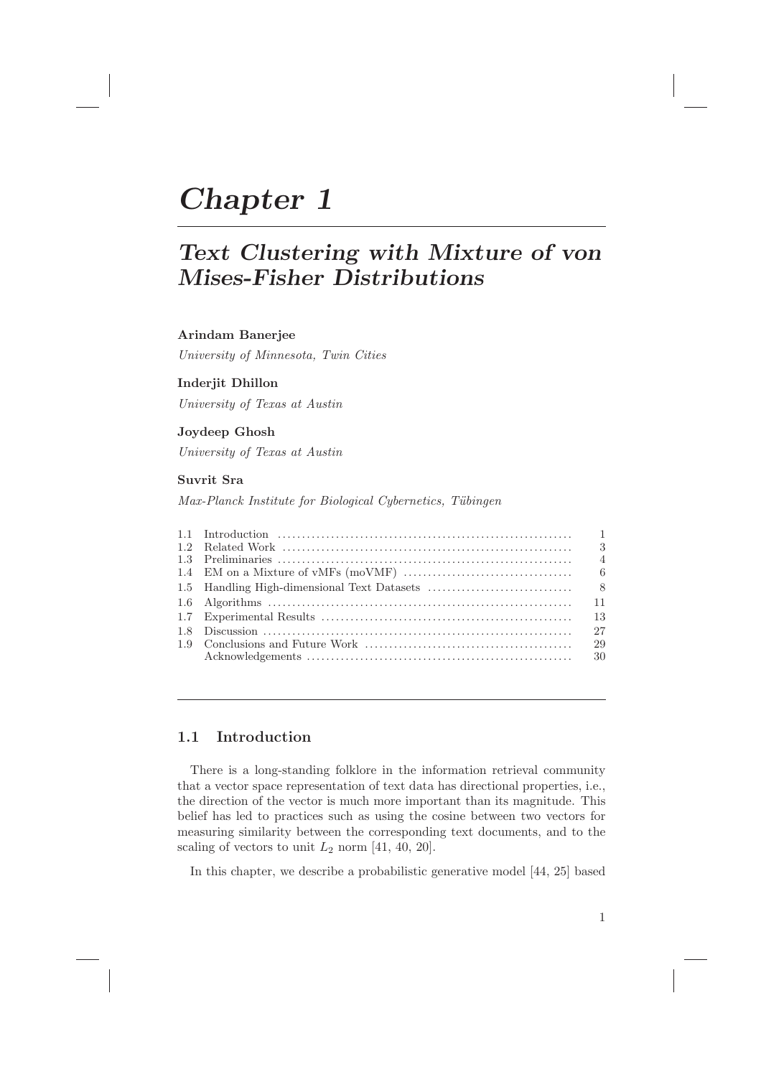# Chapter 1

## Text Clustering with Mixture of von Mises-Fisher Distributions

## Arindam Banerjee

University of Minnesota, Twin Cities

## Inderjit Dhillon

University of Texas at Austin

## Joydeep Ghosh

University of Texas at Austin

### Suvrit Sra

Max-Planck Institute for Biological Cybernetics, Tübingen

| 1.8 |  |
|-----|--|
|     |  |
|     |  |

## 1.1 Introduction

There is a long-standing folklore in the information retrieval community that a vector space representation of text data has directional properties, i.e., the direction of the vector is much more important than its magnitude. This belief has led to practices such as using the cosine between two vectors for measuring similarity between the corresponding text documents, and to the scaling of vectors to unit  $L_2$  norm [41, 40, 20].

In this chapter, we describe a probabilistic generative model [44, 25] based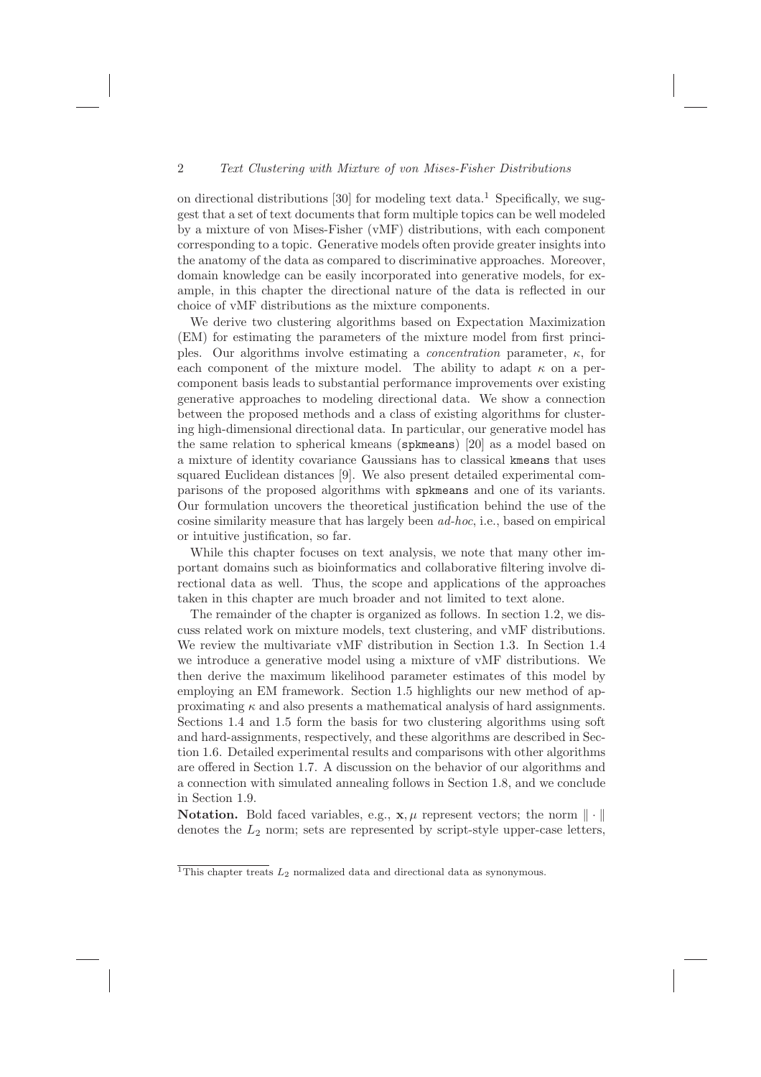on directional distributions  $[30]$  for modeling text data.<sup>1</sup> Specifically, we suggest that a set of text documents that form multiple topics can be well modeled by a mixture of von Mises-Fisher (vMF) distributions, with each component corresponding to a topic. Generative models often provide greater insights into the anatomy of the data as compared to discriminative approaches. Moreover, domain knowledge can be easily incorporated into generative models, for example, in this chapter the directional nature of the data is reflected in our choice of vMF distributions as the mixture components.

We derive two clustering algorithms based on Expectation Maximization (EM) for estimating the parameters of the mixture model from first principles. Our algorithms involve estimating a *concentration* parameter,  $\kappa$ , for each component of the mixture model. The ability to adapt  $\kappa$  on a percomponent basis leads to substantial performance improvements over existing generative approaches to modeling directional data. We show a connection between the proposed methods and a class of existing algorithms for clustering high-dimensional directional data. In particular, our generative model has the same relation to spherical kmeans (spkmeans) [20] as a model based on a mixture of identity covariance Gaussians has to classical kmeans that uses squared Euclidean distances [9]. We also present detailed experimental comparisons of the proposed algorithms with spkmeans and one of its variants. Our formulation uncovers the theoretical justification behind the use of the cosine similarity measure that has largely been ad-hoc, i.e., based on empirical or intuitive justification, so far.

While this chapter focuses on text analysis, we note that many other important domains such as bioinformatics and collaborative filtering involve directional data as well. Thus, the scope and applications of the approaches taken in this chapter are much broader and not limited to text alone.

The remainder of the chapter is organized as follows. In section 1.2, we discuss related work on mixture models, text clustering, and vMF distributions. We review the multivariate vMF distribution in Section 1.3. In Section 1.4 we introduce a generative model using a mixture of vMF distributions. We then derive the maximum likelihood parameter estimates of this model by employing an EM framework. Section 1.5 highlights our new method of approximating  $\kappa$  and also presents a mathematical analysis of hard assignments. Sections 1.4 and 1.5 form the basis for two clustering algorithms using soft and hard-assignments, respectively, and these algorithms are described in Section 1.6. Detailed experimental results and comparisons with other algorithms are offered in Section 1.7. A discussion on the behavior of our algorithms and a connection with simulated annealing follows in Section 1.8, and we conclude in Section 1.9.

**Notation.** Bold faced variables, e.g.,  $\mathbf{x}, \mu$  represent vectors; the norm  $\|\cdot\|$ denotes the  $L_2$  norm; sets are represented by script-style upper-case letters,

<sup>&</sup>lt;sup>1</sup>This chapter treats  $L_2$  normalized data and directional data as synonymous.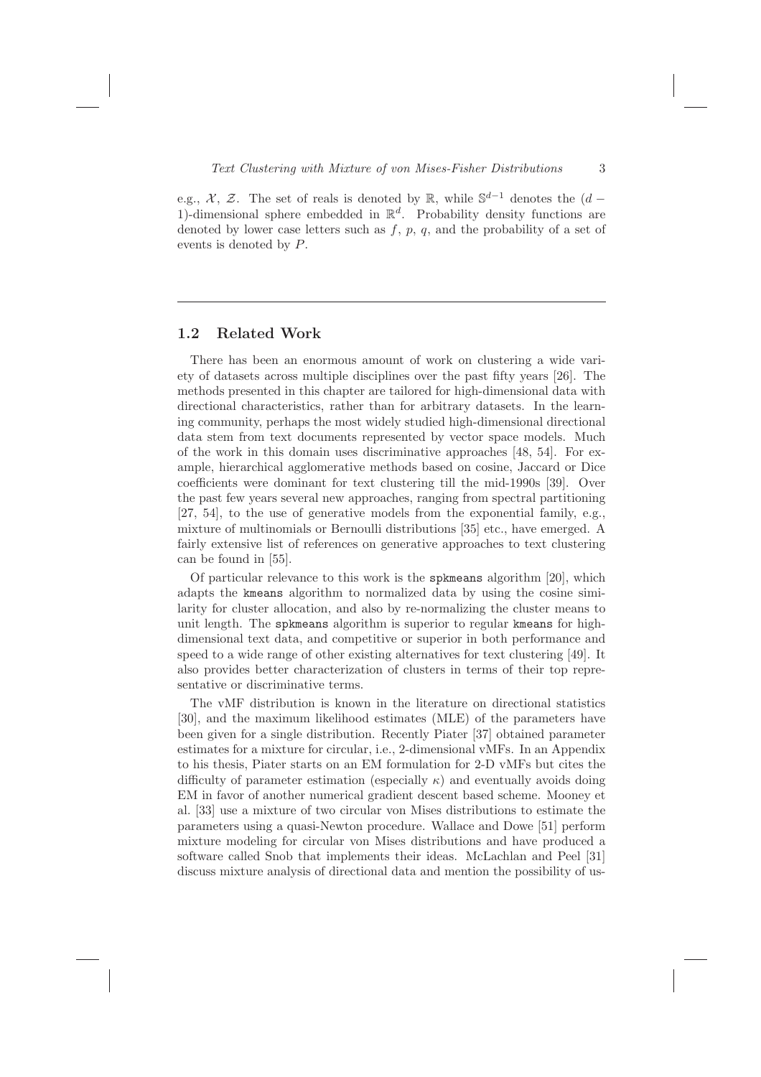e.g.,  $\mathcal{X}, \mathcal{Z}$ . The set of reals is denoted by  $\mathbb{R}$ , while  $\mathbb{S}^{d-1}$  denotes the  $(d -$ 1)-dimensional sphere embedded in  $\mathbb{R}^d$ . Probability density functions are denoted by lower case letters such as  $f, p, q$ , and the probability of a set of events is denoted by P.

## 1.2 Related Work

There has been an enormous amount of work on clustering a wide variety of datasets across multiple disciplines over the past fifty years [26]. The methods presented in this chapter are tailored for high-dimensional data with directional characteristics, rather than for arbitrary datasets. In the learning community, perhaps the most widely studied high-dimensional directional data stem from text documents represented by vector space models. Much of the work in this domain uses discriminative approaches [48, 54]. For example, hierarchical agglomerative methods based on cosine, Jaccard or Dice coefficients were dominant for text clustering till the mid-1990s [39]. Over the past few years several new approaches, ranging from spectral partitioning [27, 54], to the use of generative models from the exponential family, e.g., mixture of multinomials or Bernoulli distributions [35] etc., have emerged. A fairly extensive list of references on generative approaches to text clustering can be found in [55].

Of particular relevance to this work is the spkmeans algorithm [20], which adapts the kmeans algorithm to normalized data by using the cosine similarity for cluster allocation, and also by re-normalizing the cluster means to unit length. The spkmeans algorithm is superior to regular kmeans for highdimensional text data, and competitive or superior in both performance and speed to a wide range of other existing alternatives for text clustering [49]. It also provides better characterization of clusters in terms of their top representative or discriminative terms.

The vMF distribution is known in the literature on directional statistics [30], and the maximum likelihood estimates (MLE) of the parameters have been given for a single distribution. Recently Piater [37] obtained parameter estimates for a mixture for circular, i.e., 2-dimensional vMFs. In an Appendix to his thesis, Piater starts on an EM formulation for 2-D vMFs but cites the difficulty of parameter estimation (especially  $\kappa$ ) and eventually avoids doing EM in favor of another numerical gradient descent based scheme. Mooney et al. [33] use a mixture of two circular von Mises distributions to estimate the parameters using a quasi-Newton procedure. Wallace and Dowe [51] perform mixture modeling for circular von Mises distributions and have produced a software called Snob that implements their ideas. McLachlan and Peel [31] discuss mixture analysis of directional data and mention the possibility of us-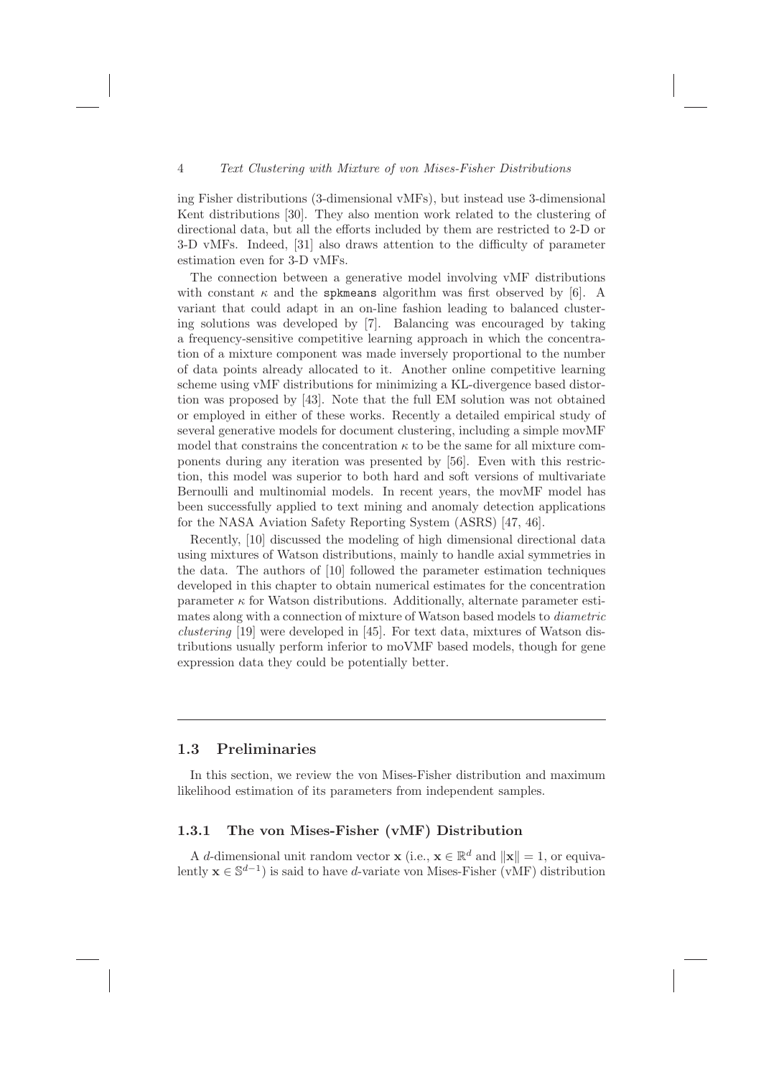ing Fisher distributions (3-dimensional vMFs), but instead use 3-dimensional Kent distributions [30]. They also mention work related to the clustering of directional data, but all the efforts included by them are restricted to 2-D or 3-D vMFs. Indeed, [31] also draws attention to the difficulty of parameter estimation even for 3-D vMFs.

The connection between a generative model involving vMF distributions with constant  $\kappa$  and the spkmeans algorithm was first observed by [6]. A variant that could adapt in an on-line fashion leading to balanced clustering solutions was developed by [7]. Balancing was encouraged by taking a frequency-sensitive competitive learning approach in which the concentration of a mixture component was made inversely proportional to the number of data points already allocated to it. Another online competitive learning scheme using vMF distributions for minimizing a KL-divergence based distortion was proposed by [43]. Note that the full EM solution was not obtained or employed in either of these works. Recently a detailed empirical study of several generative models for document clustering, including a simple movMF model that constrains the concentration  $\kappa$  to be the same for all mixture components during any iteration was presented by [56]. Even with this restriction, this model was superior to both hard and soft versions of multivariate Bernoulli and multinomial models. In recent years, the movMF model has been successfully applied to text mining and anomaly detection applications for the NASA Aviation Safety Reporting System (ASRS) [47, 46].

Recently, [10] discussed the modeling of high dimensional directional data using mixtures of Watson distributions, mainly to handle axial symmetries in the data. The authors of [10] followed the parameter estimation techniques developed in this chapter to obtain numerical estimates for the concentration parameter  $\kappa$  for Watson distributions. Additionally, alternate parameter estimates along with a connection of mixture of Watson based models to diametric clustering [19] were developed in [45]. For text data, mixtures of Watson distributions usually perform inferior to moVMF based models, though for gene expression data they could be potentially better.

## 1.3 Preliminaries

In this section, we review the von Mises-Fisher distribution and maximum likelihood estimation of its parameters from independent samples.

## 1.3.1 The von Mises-Fisher (vMF) Distribution

A d-dimensional unit random vector  $\mathbf{x}$  (i.e.,  $\mathbf{x} \in \mathbb{R}^d$  and  $\|\mathbf{x}\| = 1$ , or equivalently  $\mathbf{x} \in \mathbb{S}^{d-1}$ ) is said to have d-variate von Mises-Fisher (vMF) distribution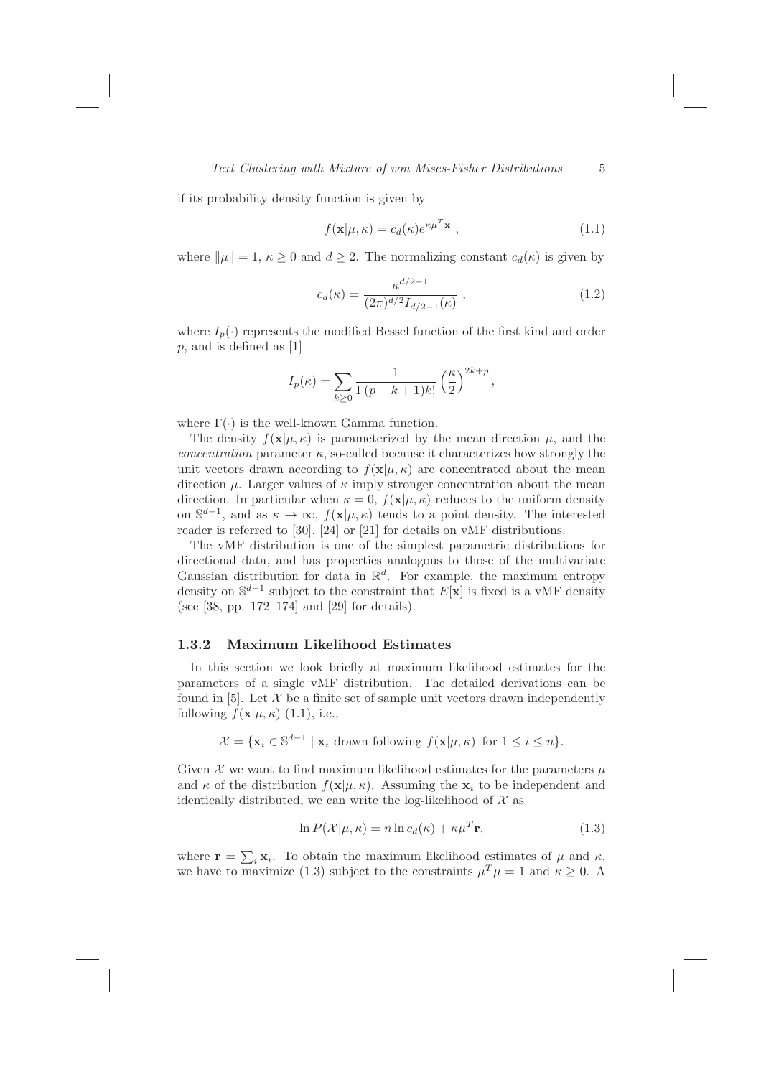if its probability density function is given by

$$
f(\mathbf{x}|\mu,\kappa) = c_d(\kappa)e^{\kappa\mu^T \mathbf{x}}, \qquad (1.1)
$$

where  $\|\mu\| = 1, \kappa \geq 0$  and  $d \geq 2$ . The normalizing constant  $c_d(\kappa)$  is given by

$$
c_d(\kappa) = \frac{\kappa^{d/2 - 1}}{(2\pi)^{d/2} I_{d/2 - 1}(\kappa)},
$$
\n(1.2)

where  $I_p(\cdot)$  represents the modified Bessel function of the first kind and order  $p$ , and is defined as [1]

$$
I_p(\kappa) = \sum_{k \ge 0} \frac{1}{\Gamma(p+k+1)k!} \left(\frac{\kappa}{2}\right)^{2k+p},
$$

where  $\Gamma(\cdot)$  is the well-known Gamma function.

The density  $f(\mathbf{x}|\mu, \kappa)$  is parameterized by the mean direction  $\mu$ , and the concentration parameter  $\kappa$ , so-called because it characterizes how strongly the unit vectors drawn according to  $f(\mathbf{x}|\mu,\kappa)$  are concentrated about the mean direction  $\mu$ . Larger values of  $\kappa$  imply stronger concentration about the mean direction. In particular when  $\kappa = 0$ ,  $f(\mathbf{x}|\mu, \kappa)$  reduces to the uniform density on  $\mathbb{S}^{d-1}$ , and as  $\kappa \to \infty$ ,  $f(\mathbf{x}|\mu, \kappa)$  tends to a point density. The interested reader is referred to [30], [24] or [21] for details on vMF distributions.

The vMF distribution is one of the simplest parametric distributions for directional data, and has properties analogous to those of the multivariate Gaussian distribution for data in  $\mathbb{R}^d$ . For example, the maximum entropy density on  $\mathbb{S}^{d-1}$  subject to the constraint that  $E[\mathbf{x}]$  is fixed is a vMF density (see [38, pp. 172–174] and [29] for details).

#### 1.3.2 Maximum Likelihood Estimates

In this section we look briefly at maximum likelihood estimates for the parameters of a single vMF distribution. The detailed derivations can be found in [5]. Let  $\mathcal X$  be a finite set of sample unit vectors drawn independently following  $f(\mathbf{x}|\mu, \kappa)$  (1.1), i.e.,

$$
\mathcal{X} = \{ \mathbf{x}_i \in \mathbb{S}^{d-1} \mid \mathbf{x}_i \text{ drawn following } f(\mathbf{x} | \mu, \kappa) \text{ for } 1 \le i \le n \}.
$$

Given  $\mathcal X$  we want to find maximum likelihood estimates for the parameters  $\mu$ and  $\kappa$  of the distribution  $f(\mathbf{x}|\mu, \kappa)$ . Assuming the  $\mathbf{x}_i$  to be independent and identically distributed, we can write the log-likelihood of  $\mathcal X$  as

$$
\ln P(\mathcal{X}|\mu,\kappa) = n \ln c_d(\kappa) + \kappa \mu^T \mathbf{r},\tag{1.3}
$$

where  $\mathbf{r} = \sum_i \mathbf{x}_i$ . To obtain the maximum likelihood estimates of  $\mu$  and  $\kappa$ , we have to maximize (1.3) subject to the constraints  $\mu^T \mu = 1$  and  $\kappa \geq 0$ . A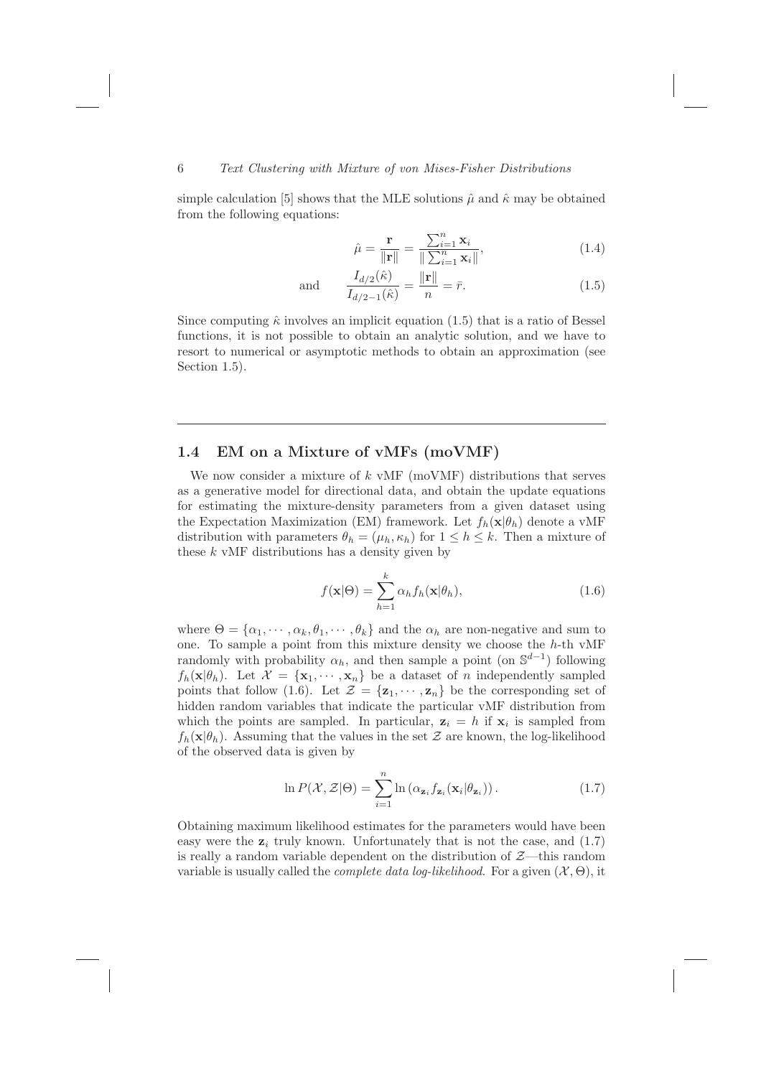simple calculation [5] shows that the MLE solutions  $\hat{\mu}$  and  $\hat{\kappa}$  may be obtained from the following equations:

$$
\hat{\mu} = \frac{\mathbf{r}}{\|\mathbf{r}\|} = \frac{\sum_{i=1}^{n} \mathbf{x}_i}{\|\sum_{i=1}^{n} \mathbf{x}_i\|},\tag{1.4}
$$

$$
\text{and} \qquad \frac{I_{d/2}(\hat{\kappa})}{I_{d/2-1}(\hat{\kappa})} = \frac{\|\mathbf{r}\|}{n} = \bar{r}.\tag{1.5}
$$

Since computing  $\hat{\kappa}$  involves an implicit equation (1.5) that is a ratio of Bessel functions, it is not possible to obtain an analytic solution, and we have to resort to numerical or asymptotic methods to obtain an approximation (see Section 1.5).

## 1.4 EM on a Mixture of vMFs (moVMF)

 $\mathbf{a}$ 

We now consider a mixture of  $k$  vMF (moVMF) distributions that serves as a generative model for directional data, and obtain the update equations for estimating the mixture-density parameters from a given dataset using the Expectation Maximization (EM) framework. Let  $f_h(\mathbf{x}|\theta_h)$  denote a vMF distribution with parameters  $\theta_h = (\mu_h, \kappa_h)$  for  $1 \leq h \leq k$ . Then a mixture of these  $k$  vMF distributions has a density given by

$$
f(\mathbf{x}|\Theta) = \sum_{h=1}^{k} \alpha_h f_h(\mathbf{x}|\theta_h),
$$
\n(1.6)

where  $\Theta = {\alpha_1, \dots, \alpha_k, \theta_1, \dots, \theta_k}$  and the  $\alpha_h$  are non-negative and sum to one. To sample a point from this mixture density we choose the  $h$ -th vMF randomly with probability  $\alpha_h$ , and then sample a point (on  $\mathbb{S}^{d-1}$ ) following  $f_h(\mathbf{x}|\theta_h)$ . Let  $\mathcal{X} = {\mathbf{x}_1, \cdots, \mathbf{x}_n}$  be a dataset of n independently sampled points that follow (1.6). Let  $\mathcal{Z} = {\mathbf{z}_1, \dots, \mathbf{z}_n}$  be the corresponding set of hidden random variables that indicate the particular vMF distribution from which the points are sampled. In particular,  $z_i = h$  if  $x_i$  is sampled from  $f_h(\mathbf{x}|\theta_h)$ . Assuming that the values in the set  $\mathcal Z$  are known, the log-likelihood of the observed data is given by

$$
\ln P(\mathcal{X}, \mathcal{Z}|\Theta) = \sum_{i=1}^{n} \ln \left( \alpha_{\mathbf{z}_i} f_{\mathbf{z}_i}(\mathbf{x}_i | \theta_{\mathbf{z}_i}) \right).
$$
 (1.7)

Obtaining maximum likelihood estimates for the parameters would have been easy were the  $z_i$  truly known. Unfortunately that is not the case, and  $(1.7)$ is really a random variable dependent on the distribution of  $\mathcal{Z}$ —this random variable is usually called the *complete data log-likelihood*. For a given  $(\mathcal{X}, \Theta)$ , it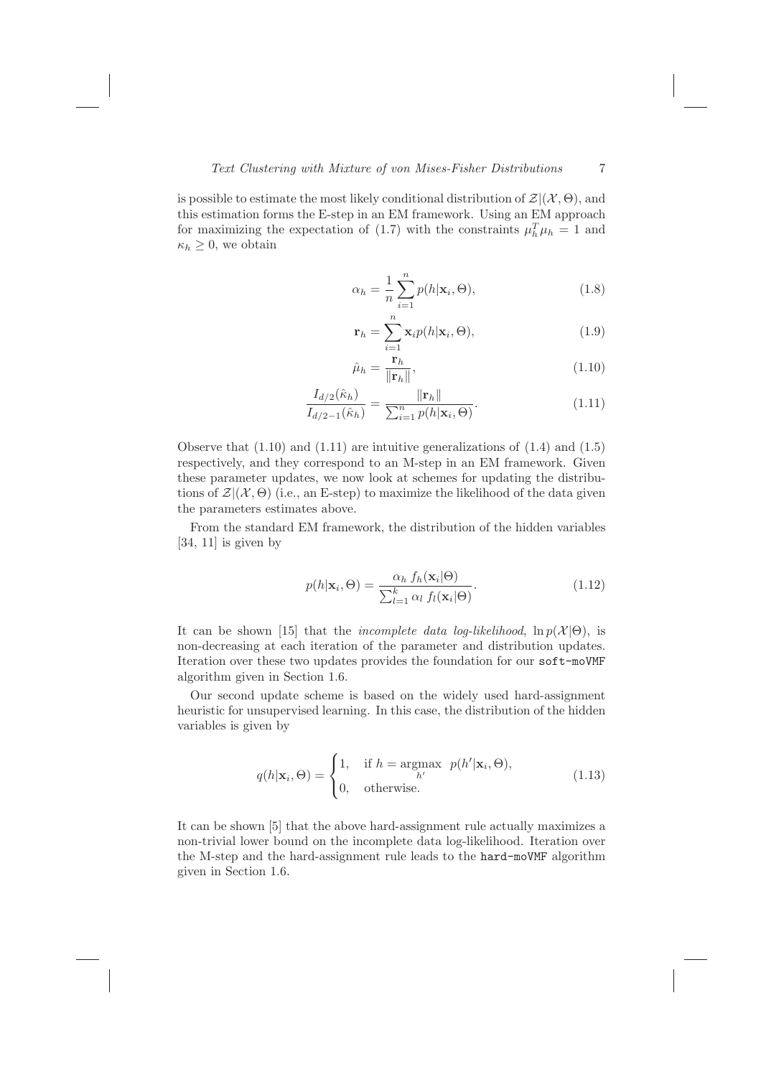is possible to estimate the most likely conditional distribution of  $\mathcal{Z}|\(\mathcal{X},\Theta)$ , and this estimation forms the E-step in an EM framework. Using an EM approach for maximizing the expectation of (1.7) with the constraints  $\mu_h^T \mu_h = 1$  and  $\kappa_h \geq 0$ , we obtain

$$
\alpha_h = \frac{1}{n} \sum_{i=1}^n p(h|\mathbf{x}_i, \Theta), \qquad (1.8)
$$

$$
\mathbf{r}_h = \sum_{i=1}^n \mathbf{x}_i p(h|\mathbf{x}_i, \Theta), \tag{1.9}
$$

$$
\hat{\mu}_h = \frac{\mathbf{r}_h}{\|\mathbf{r}_h\|},\tag{1.10}
$$

$$
\frac{I_{d/2}(\hat{\kappa}_h)}{I_{d/2-1}(\hat{\kappa}_h)} = \frac{\|\mathbf{r}_h\|}{\sum_{i=1}^n p(h|\mathbf{x}_i, \Theta)}.
$$
\n(1.11)

Observe that  $(1.10)$  and  $(1.11)$  are intuitive generalizations of  $(1.4)$  and  $(1.5)$ respectively, and they correspond to an M-step in an EM framework. Given these parameter updates, we now look at schemes for updating the distributions of  $\mathcal{Z}(\mathcal{X}, \Theta)$  (i.e., an E-step) to maximize the likelihood of the data given the parameters estimates above.

From the standard EM framework, the distribution of the hidden variables [34, 11] is given by

$$
p(h|\mathbf{x}_i, \Theta) = \frac{\alpha_h f_h(\mathbf{x}_i|\Theta)}{\sum_{l=1}^k \alpha_l f_l(\mathbf{x}_i|\Theta)}.
$$
\n(1.12)

It can be shown [15] that the *incomplete data log-likelihood*,  $\ln p(\mathcal{X}|\Theta)$ , is non-decreasing at each iteration of the parameter and distribution updates. Iteration over these two updates provides the foundation for our soft-moVMF algorithm given in Section 1.6.

Our second update scheme is based on the widely used hard-assignment heuristic for unsupervised learning. In this case, the distribution of the hidden variables is given by

$$
q(h|\mathbf{x}_i, \Theta) = \begin{cases} 1, & \text{if } h = \underset{h'}{\text{argmax}} \ p(h'|\mathbf{x}_i, \Theta), \\ 0, & \text{otherwise.} \end{cases}
$$
(1.13)

It can be shown [5] that the above hard-assignment rule actually maximizes a non-trivial lower bound on the incomplete data log-likelihood. Iteration over the M-step and the hard-assignment rule leads to the hard-moVMF algorithm given in Section 1.6.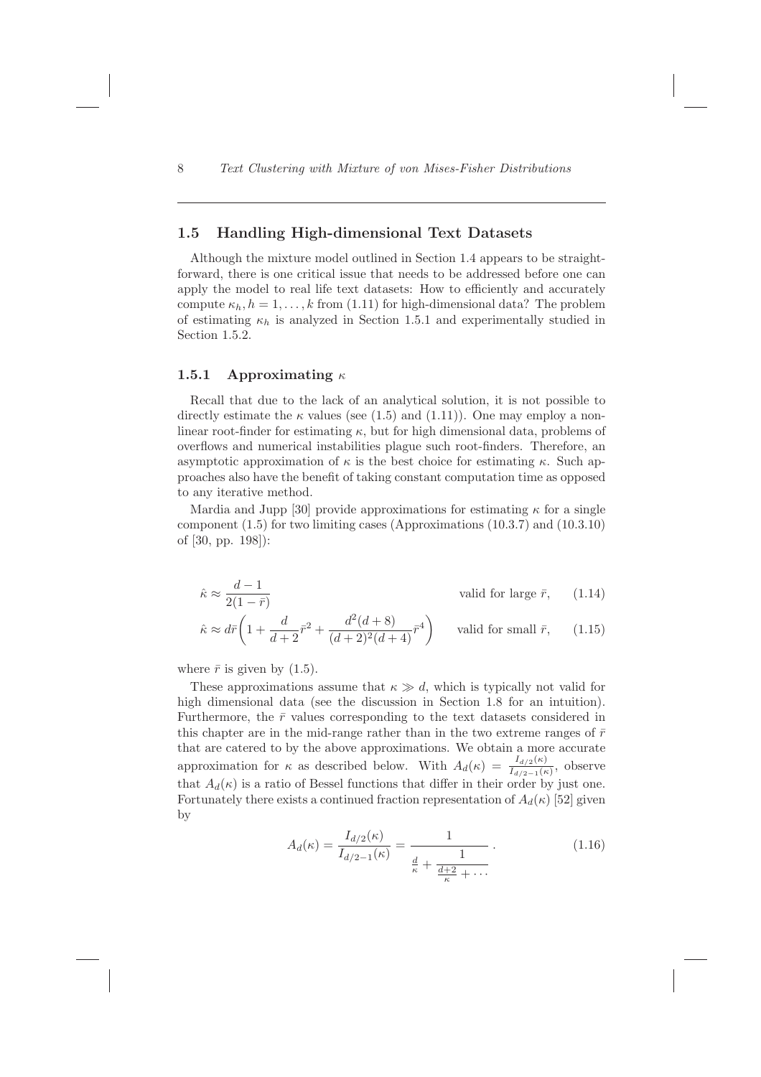## 1.5 Handling High-dimensional Text Datasets

Although the mixture model outlined in Section 1.4 appears to be straightforward, there is one critical issue that needs to be addressed before one can apply the model to real life text datasets: How to efficiently and accurately compute  $\kappa_h$ ,  $h = 1, \ldots, k$  from (1.11) for high-dimensional data? The problem of estimating  $\kappa_h$  is analyzed in Section 1.5.1 and experimentally studied in Section 1.5.2.

## 1.5.1 Approximating  $\kappa$

Recall that due to the lack of an analytical solution, it is not possible to directly estimate the  $\kappa$  values (see (1.5) and (1.11)). One may employ a nonlinear root-finder for estimating  $\kappa$ , but for high dimensional data, problems of overflows and numerical instabilities plague such root-finders. Therefore, an asymptotic approximation of  $\kappa$  is the best choice for estimating  $\kappa$ . Such approaches also have the benefit of taking constant computation time as opposed to any iterative method.

Mardia and Jupp [30] provide approximations for estimating  $\kappa$  for a single component (1.5) for two limiting cases (Approximations (10.3.7) and (10.3.10) of [30, pp. 198]):

$$
\hat{\kappa} \approx \frac{d-1}{2(1-\bar{r})}
$$
 valid for large  $\bar{r}$ , (1.14)  

$$
\hat{\kappa} \approx d\bar{r} \left(1 + \frac{d}{d+2}\bar{r}^2 + \frac{d^2(d+8)}{(d+2)^2(d+4)}\bar{r}^4\right)
$$
 valid for small  $\bar{r}$ , (1.15)

where  $\bar{r}$  is given by (1.5).

These approximations assume that  $\kappa \gg d$ , which is typically not valid for high dimensional data (see the discussion in Section 1.8 for an intuition). Furthermore, the  $\bar{r}$  values corresponding to the text datasets considered in this chapter are in the mid-range rather than in the two extreme ranges of  $\bar{r}$ that are catered to by the above approximations. We obtain a more accurate approximation for  $\kappa$  as described below. With  $A_d(\kappa) = \frac{I_{d/2}(\kappa)}{I_{d/2-1}(\kappa)}$ , observe that  $A_d(\kappa)$  is a ratio of Bessel functions that differ in their order by just one. Fortunately there exists a continued fraction representation of  $A_d(\kappa)$  [52] given by

$$
A_d(\kappa) = \frac{I_{d/2}(\kappa)}{I_{d/2-1}(\kappa)} = \frac{1}{\frac{d}{\kappa} + \frac{1}{\frac{d+2}{\kappa} + \cdots}}.
$$
 (1.16)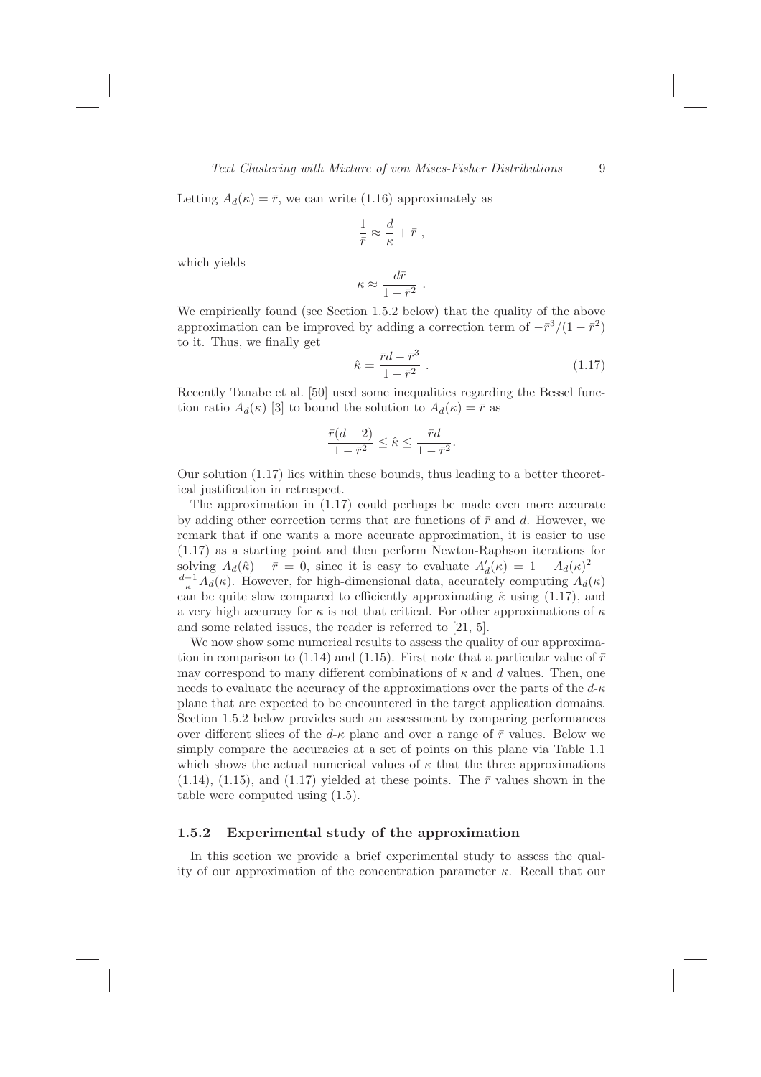Letting  $A_d(\kappa) = \bar{r}$ , we can write (1.16) approximately as

$$
\frac{1}{\bar{r}} \approx \frac{d}{\kappa} + \bar{r} ,
$$

which yields

$$
\kappa \approx \frac{d\bar{r}}{1-\bar{r}^2}
$$

.

We empirically found (see Section 1.5.2 below) that the quality of the above approximation can be improved by adding a correction term of  $-\bar{r}^3/(1-\bar{r}^2)$ to it. Thus, we finally get

$$
\hat{\kappa} = \frac{\bar{r}d - \bar{r}^3}{1 - \bar{r}^2} \ . \tag{1.17}
$$

Recently Tanabe et al. [50] used some inequalities regarding the Bessel function ratio  $A_d(\kappa)$  [3] to bound the solution to  $A_d(\kappa) = \bar{r}$  as

$$
\frac{\bar{r}(d-2)}{1-\bar{r}^2} \leq \hat{\kappa} \leq \frac{\bar{r}d}{1-\bar{r}^2}.
$$

Our solution (1.17) lies within these bounds, thus leading to a better theoretical justification in retrospect.

The approximation in (1.17) could perhaps be made even more accurate by adding other correction terms that are functions of  $\bar{r}$  and d. However, we remark that if one wants a more accurate approximation, it is easier to use (1.17) as a starting point and then perform Newton-Raphson iterations for solving  $A_d(\hat{\kappa}) - \bar{r} = 0$ , since it is easy to evaluate  $A'_d(\kappa) = 1 - A_d(\kappa)^2$  $\frac{d-1}{\kappa}A_d(\kappa)$ . However, for high-dimensional data, accurately computing  $A_d(\kappa)$ can be quite slow compared to efficiently approximating  $\hat{\kappa}$  using (1.17), and a very high accuracy for  $\kappa$  is not that critical. For other approximations of  $\kappa$ and some related issues, the reader is referred to [21, 5].

We now show some numerical results to assess the quality of our approximation in comparison to (1.14) and (1.15). First note that a particular value of  $\bar{r}$ may correspond to many different combinations of  $\kappa$  and d values. Then, one needs to evaluate the accuracy of the approximations over the parts of the  $d-\kappa$ plane that are expected to be encountered in the target application domains. Section 1.5.2 below provides such an assessment by comparing performances over different slices of the  $d-\kappa$  plane and over a range of  $\bar{r}$  values. Below we simply compare the accuracies at a set of points on this plane via Table 1.1 which shows the actual numerical values of  $\kappa$  that the three approximations  $(1.14)$ ,  $(1.15)$ , and  $(1.17)$  yielded at these points. The  $\bar{r}$  values shown in the table were computed using (1.5).

## 1.5.2 Experimental study of the approximation

In this section we provide a brief experimental study to assess the quality of our approximation of the concentration parameter  $\kappa$ . Recall that our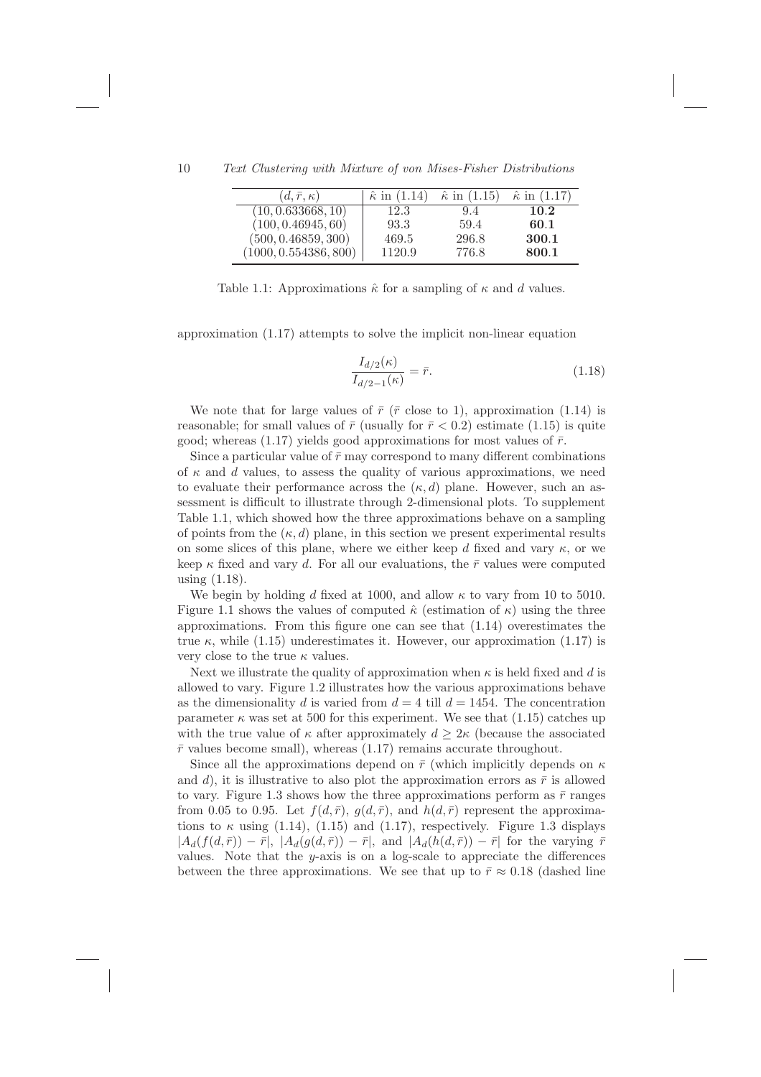10 Text Clustering with Mixture of von Mises-Fisher Distributions

| $(d, \bar{r}, \kappa)$ | $\hat{\kappa}$ in $(1.14)$ | $\hat{\kappa}$ in $(1.15)$ | $\hat{\kappa}$ in $(1.17)$ |
|------------------------|----------------------------|----------------------------|----------------------------|
| (10, 0.633668, 10)     | 12.3                       | 9.4                        | 10.2                       |
| (100, 0.46945, 60)     | 93.3                       | 59.4                       | 60.1                       |
| (500, 0.46859, 300)    | 469.5                      | 296.8                      | 300.1                      |
| (1000, 0.554386, 800)  | 1120.9                     | 776.8                      | 800.1                      |

Table 1.1: Approximations  $\hat{\kappa}$  for a sampling of  $\kappa$  and d values.

approximation (1.17) attempts to solve the implicit non-linear equation

$$
\frac{I_{d/2}(\kappa)}{I_{d/2-1}(\kappa)} = \bar{r}.\tag{1.18}
$$

We note that for large values of  $\bar{r}$  ( $\bar{r}$  close to 1), approximation (1.14) is reasonable; for small values of  $\bar{r}$  (usually for  $\bar{r}$  < 0.2) estimate (1.15) is quite good; whereas (1.17) yields good approximations for most values of  $\bar{r}$ .

Since a particular value of  $\bar{r}$  may correspond to many different combinations of  $\kappa$  and d values, to assess the quality of various approximations, we need to evaluate their performance across the  $(\kappa, d)$  plane. However, such an assessment is difficult to illustrate through 2-dimensional plots. To supplement Table 1.1, which showed how the three approximations behave on a sampling of points from the  $(\kappa, d)$  plane, in this section we present experimental results on some slices of this plane, where we either keep d fixed and vary  $\kappa$ , or we keep  $\kappa$  fixed and vary d. For all our evaluations, the  $\bar{r}$  values were computed using (1.18).

We begin by holding d fixed at 1000, and allow  $\kappa$  to vary from 10 to 5010. Figure 1.1 shows the values of computed  $\hat{\kappa}$  (estimation of  $\kappa$ ) using the three approximations. From this figure one can see that (1.14) overestimates the true  $\kappa$ , while (1.15) underestimates it. However, our approximation (1.17) is very close to the true  $\kappa$  values.

Next we illustrate the quality of approximation when  $\kappa$  is held fixed and d is allowed to vary. Figure 1.2 illustrates how the various approximations behave as the dimensionality d is varied from  $d = 4$  till  $d = 1454$ . The concentration parameter  $\kappa$  was set at 500 for this experiment. We see that (1.15) catches up with the true value of  $\kappa$  after approximately  $d \geq 2\kappa$  (because the associated  $\bar{r}$  values become small), whereas (1.17) remains accurate throughout.

Since all the approximations depend on  $\bar{r}$  (which implicitly depends on  $\kappa$ ) and d), it is illustrative to also plot the approximation errors as  $\bar{r}$  is allowed to vary. Figure 1.3 shows how the three approximations perform as  $\bar{r}$  ranges from 0.05 to 0.95. Let  $f(d, \overline{r})$ ,  $g(d, \overline{r})$ , and  $h(d, \overline{r})$  represent the approximations to  $\kappa$  using (1.14), (1.15) and (1.17), respectively. Figure 1.3 displays  $|A_d(f(d,\overline{r})) - \overline{r}|, |A_d(g(d,\overline{r})) - \overline{r}|,$  and  $|A_d(h(d,\overline{r})) - \overline{r}|$  for the varying  $\overline{r}$ values. Note that the y-axis is on a log-scale to appreciate the differences between the three approximations. We see that up to  $\bar{r} \approx 0.18$  (dashed line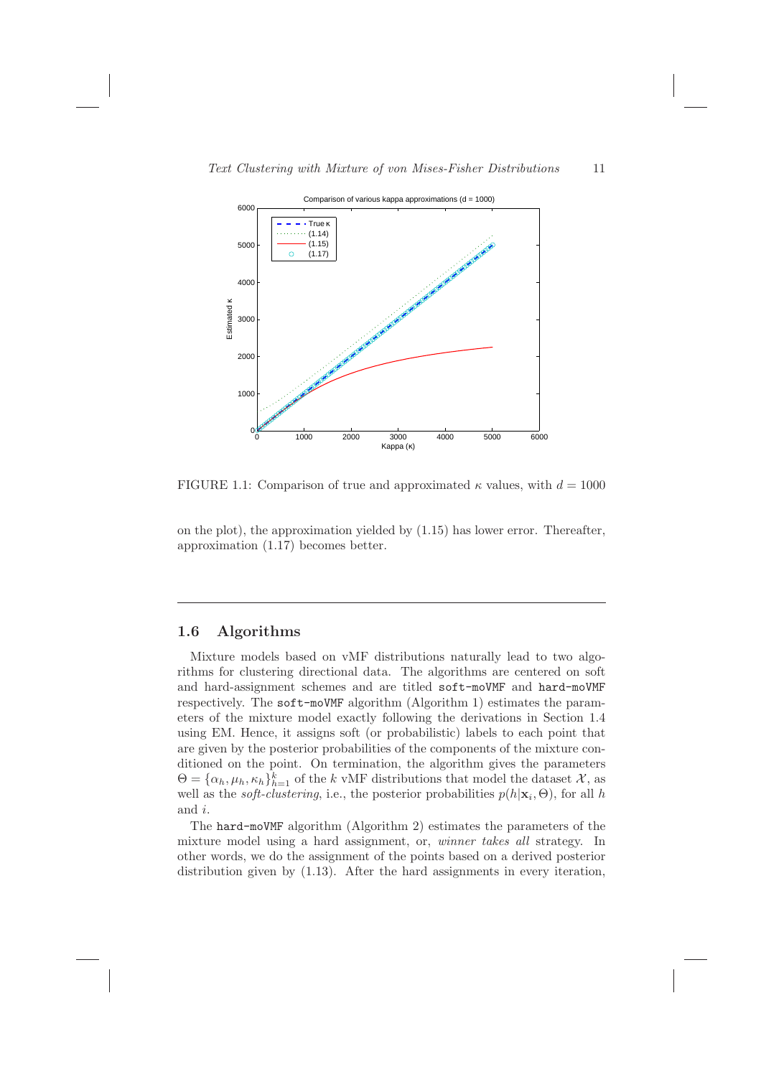

FIGURE 1.1: Comparison of true and approximated  $\kappa$  values, with  $d = 1000$ 

on the plot), the approximation yielded by (1.15) has lower error. Thereafter, approximation (1.17) becomes better.

## 1.6 Algorithms

Mixture models based on vMF distributions naturally lead to two algorithms for clustering directional data. The algorithms are centered on soft and hard-assignment schemes and are titled soft-moVMF and hard-moVMF respectively. The soft-moVMF algorithm (Algorithm 1) estimates the parameters of the mixture model exactly following the derivations in Section 1.4 using EM. Hence, it assigns soft (or probabilistic) labels to each point that are given by the posterior probabilities of the components of the mixture conditioned on the point. On termination, the algorithm gives the parameters  $\Theta = {\alpha_h, \mu_h, \kappa_h}_{h=1}^k$  of the k vMF distributions that model the dataset X, as well as the *soft-clustering*, i.e., the posterior probabilities  $p(h|\mathbf{x}_i, \Theta)$ , for all h and i.

The hard-moVMF algorithm (Algorithm 2) estimates the parameters of the mixture model using a hard assignment, or, winner takes all strategy. In other words, we do the assignment of the points based on a derived posterior distribution given by (1.13). After the hard assignments in every iteration,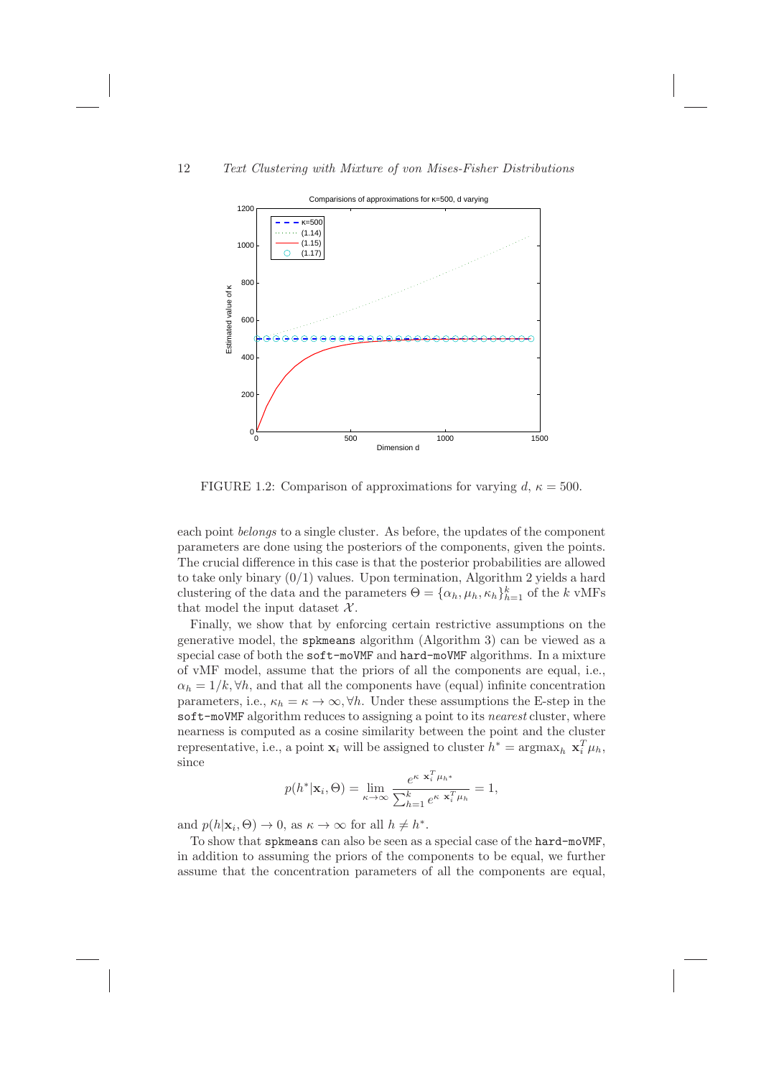

FIGURE 1.2: Comparison of approximations for varying  $d, \kappa = 500$ .

each point belongs to a single cluster. As before, the updates of the component parameters are done using the posteriors of the components, given the points. The crucial difference in this case is that the posterior probabilities are allowed to take only binary  $(0/1)$  values. Upon termination, Algorithm 2 yields a hard clustering of the data and the parameters  $\Theta = {\alpha_h, \mu_h, \kappa_h}_{h=1}^k$  of the k vMFs that model the input dataset  $\mathcal{X}$ .

Finally, we show that by enforcing certain restrictive assumptions on the generative model, the spkmeans algorithm (Algorithm 3) can be viewed as a special case of both the soft-moVMF and hard-moVMF algorithms. In a mixture of vMF model, assume that the priors of all the components are equal, i.e.,  $\alpha_h = 1/k, \forall h$ , and that all the components have (equal) infinite concentration parameters, i.e.,  $\kappa_h = \kappa \to \infty$ ,  $\forall h$ . Under these assumptions the E-step in the soft-moVMF algorithm reduces to assigning a point to its *nearest* cluster, where nearness is computed as a cosine similarity between the point and the cluster representative, i.e., a point  $\mathbf{x}_i$  will be assigned to cluster  $h^* = \operatorname{argmax}_h \mathbf{x}_i^T \mu_h$ , since

$$
p(h^*|\mathbf{x}_i,\Theta) = \lim_{\kappa \to \infty} \frac{e^{\kappa \mathbf{x}_i^T \mu_{h^*}}}{\sum_{h=1}^k e^{\kappa \mathbf{x}_i^T \mu_h}} = 1,
$$

and  $p(h|\mathbf{x}_i, \Theta) \to 0$ , as  $\kappa \to \infty$  for all  $h \neq h^*$ .

To show that spkmeans can also be seen as a special case of the hard-moVMF, in addition to assuming the priors of the components to be equal, we further assume that the concentration parameters of all the components are equal,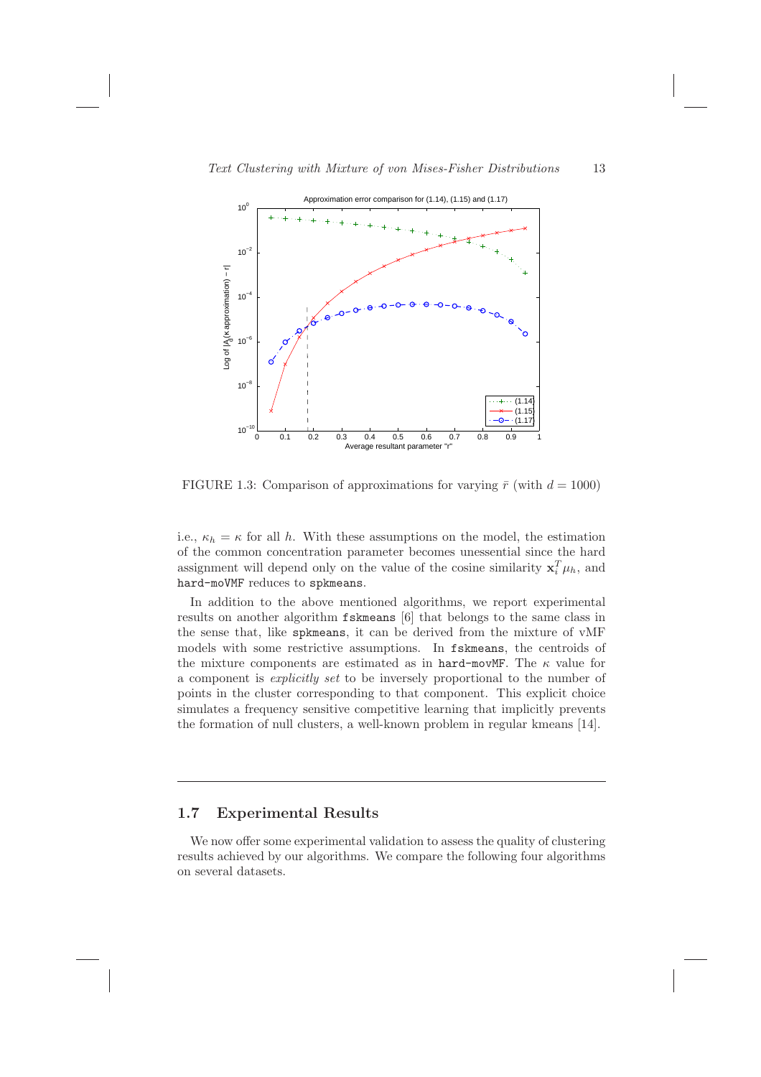

FIGURE 1.3: Comparison of approximations for varying  $\bar{r}$  (with  $d = 1000$ )

i.e.,  $\kappa_h = \kappa$  for all h. With these assumptions on the model, the estimation of the common concentration parameter becomes unessential since the hard assignment will depend only on the value of the cosine similarity  $x_i^T \mu_h$ , and hard-moVMF reduces to spkmeans.

In addition to the above mentioned algorithms, we report experimental results on another algorithm fskmeans [6] that belongs to the same class in the sense that, like spkmeans, it can be derived from the mixture of vMF models with some restrictive assumptions. In fskmeans, the centroids of the mixture components are estimated as in hard-movMF. The  $\kappa$  value for a component is explicitly set to be inversely proportional to the number of points in the cluster corresponding to that component. This explicit choice simulates a frequency sensitive competitive learning that implicitly prevents the formation of null clusters, a well-known problem in regular kmeans [14].

## 1.7 Experimental Results

We now offer some experimental validation to assess the quality of clustering results achieved by our algorithms. We compare the following four algorithms on several datasets.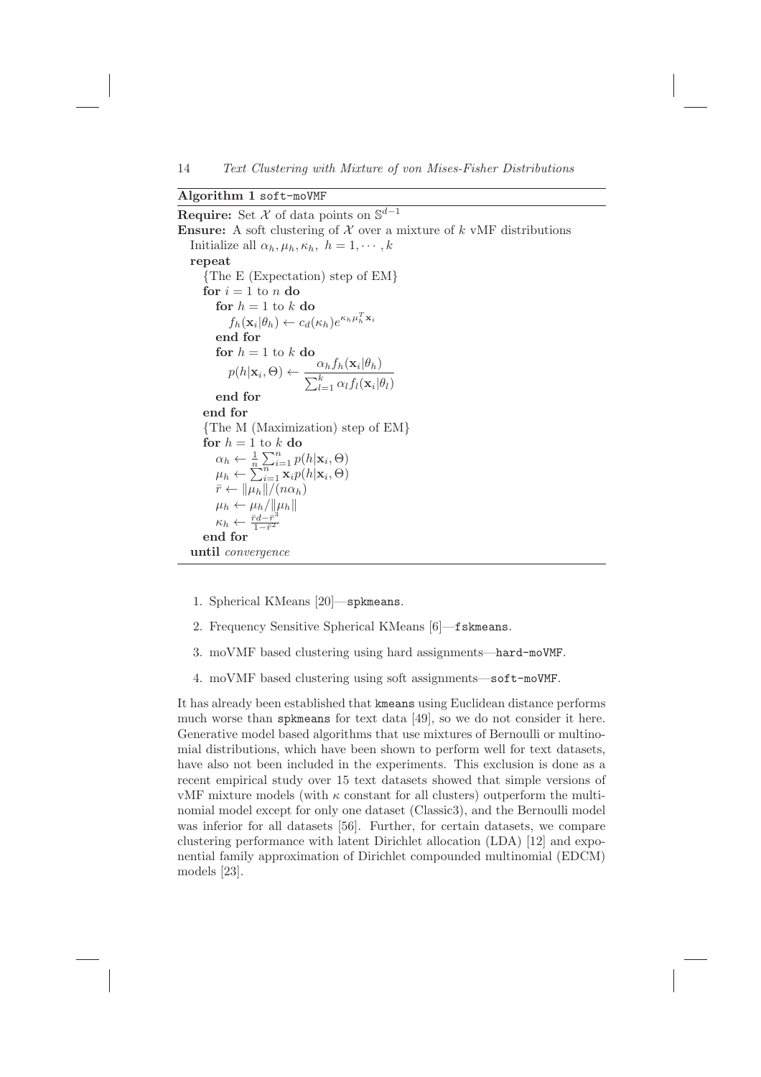#### Algorithm 1 soft-moVMF

**Require:** Set  $\mathcal X$  of data points on  $\mathbb S^{d-1}$ **Ensure:** A soft clustering of  $\mathcal X$  over a mixture of  $k$  vMF distributions Initialize all  $\alpha_h, \mu_h, \kappa_h, h = 1, \cdots, k$ repeat {The E (Expectation) step of EM} for  $i = 1$  to n do for  $h = 1$  to  $k$  do  $f_h(\mathbf{x}_i|\theta_h) \leftarrow c_d(\kappa_h)e^{\kappa_h\mu_h^T\mathbf{x}_i}$ end for for  $h = 1$  to  $k$  do  $p(h|\mathbf{x}_i, \Theta) \leftarrow \frac{\alpha_h f_h(\mathbf{x}_i|\theta_h)}{\sum_{k=1}^{k} \alpha_k |\mathcal{A}_k|}$  $\sum_{l=1}^k \alpha_l f_l(\mathbf{x}_i | \theta_l)$ end for end for {The M (Maximization) step of EM} for  $h = 1$  to  $k$  do  $\alpha_h \leftarrow \frac{1}{n} \sum_{i=1}^n p(h|\mathbf{x}_i, \Theta)$  $\mu_h \leftarrow \sum_{i=1}^{n} \mathbf{x}_i p(h|\mathbf{x}_i, \Theta)$  $\bar{r} \leftarrow ||\mu_h||/(n\alpha_h)$  $\mu_h \leftarrow \mu_h / \|\mu_h\|$  $\kappa_h \leftarrow \frac{\bar{r} d - \bar{r}^3}{1 - \bar{r}^2}$  $\overline{1-\bar{r}^2}$ end for until convergence

- 1. Spherical KMeans [20]—spkmeans.
- 2. Frequency Sensitive Spherical KMeans [6]—fskmeans.
- 3. moVMF based clustering using hard assignments—hard-moVMF.
- 4. moVMF based clustering using soft assignments—soft-moVMF.

It has already been established that kmeans using Euclidean distance performs much worse than spkmeans for text data [49], so we do not consider it here. Generative model based algorithms that use mixtures of Bernoulli or multinomial distributions, which have been shown to perform well for text datasets, have also not been included in the experiments. This exclusion is done as a recent empirical study over 15 text datasets showed that simple versions of vMF mixture models (with  $\kappa$  constant for all clusters) outperform the multinomial model except for only one dataset (Classic3), and the Bernoulli model was inferior for all datasets [56]. Further, for certain datasets, we compare clustering performance with latent Dirichlet allocation (LDA) [12] and exponential family approximation of Dirichlet compounded multinomial (EDCM) models [23].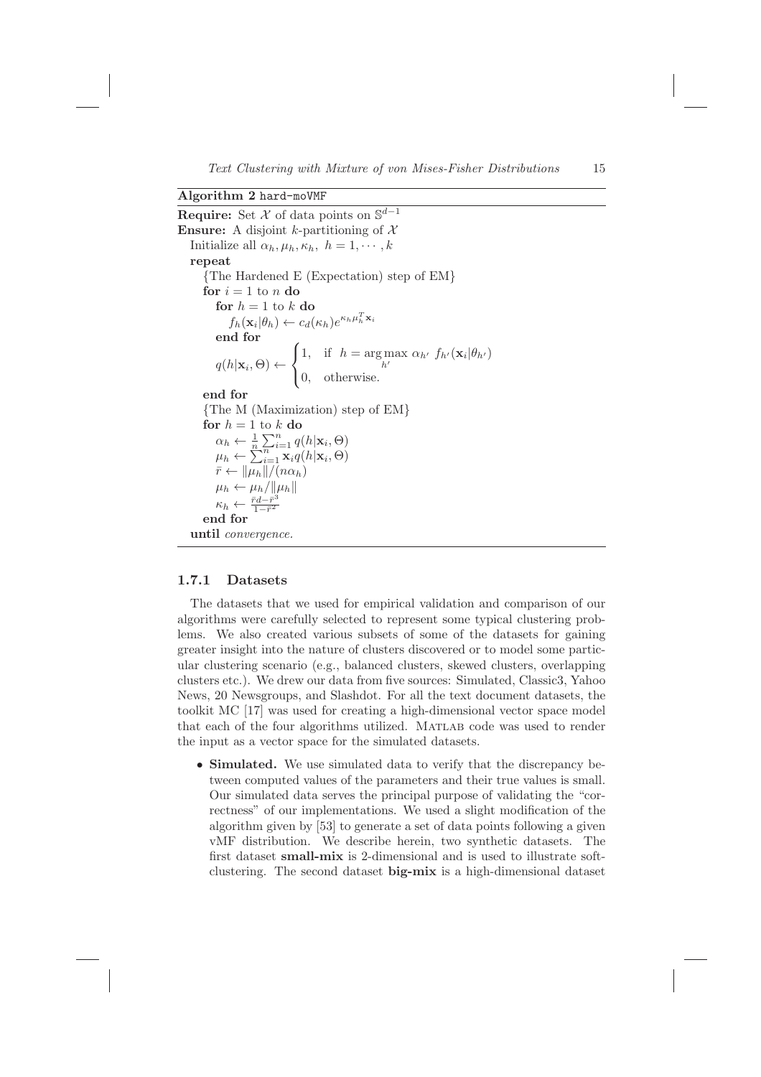#### Algorithm 2 hard-moVMF

**Require:** Set  $\mathcal X$  of data points on  $\mathbb S^{d-1}$ **Ensure:** A disjoint k-partitioning of  $\mathcal{X}$ Initialize all  $\alpha_h, \mu_h, \kappa_h, h = 1, \cdots, k$ repeat {The Hardened E (Expectation) step of EM} for  $i = 1$  to n do for  $h = 1$  to k do  $f_h(\mathbf{x}_i|\theta_h) \leftarrow c_d(\kappa_h)e^{\kappa_h\mu_h^T\mathbf{x}_i}$ end for  $q(h|\mathbf{x}_i, \Theta) \leftarrow$  $\sqrt{ }$  $\left| \right|$  $\mathcal{L}$ 1, if  $h = \underset{h'}{\arg \max} \alpha_{h'} f_{h'}(\mathbf{x}_i | \theta_{h'})$ 0, otherwise. end for {The M (Maximization) step of EM} for  $h = 1$  to  $k$  do  $\alpha_h \leftarrow \frac{1}{n} \sum_{i=1}^n q(h|\mathbf{x}_i, \Theta)$  $\mu_h \leftarrow \sum_{i=1}^n \mathbf{x}_i q(h|\mathbf{x}_i, \Theta)$  $\bar{r} \leftarrow ||\mu_h||/(n\alpha_h)$  $\mu_h \leftarrow \mu_h / \|\mu_h\|$  $\kappa_h \leftarrow \frac{\bar{r} d - \bar{r}^3}{1 - \bar{r}^2}$  $1-\bar{r}^2$ end for until convergence.

## 1.7.1 Datasets

The datasets that we used for empirical validation and comparison of our algorithms were carefully selected to represent some typical clustering problems. We also created various subsets of some of the datasets for gaining greater insight into the nature of clusters discovered or to model some particular clustering scenario (e.g., balanced clusters, skewed clusters, overlapping clusters etc.). We drew our data from five sources: Simulated, Classic3, Yahoo News, 20 Newsgroups, and Slashdot. For all the text document datasets, the toolkit MC [17] was used for creating a high-dimensional vector space model that each of the four algorithms utilized. MATLAB code was used to render the input as a vector space for the simulated datasets.

• Simulated. We use simulated data to verify that the discrepancy between computed values of the parameters and their true values is small. Our simulated data serves the principal purpose of validating the "correctness" of our implementations. We used a slight modification of the algorithm given by [53] to generate a set of data points following a given vMF distribution. We describe herein, two synthetic datasets. The first dataset small-mix is 2-dimensional and is used to illustrate softclustering. The second dataset big-mix is a high-dimensional dataset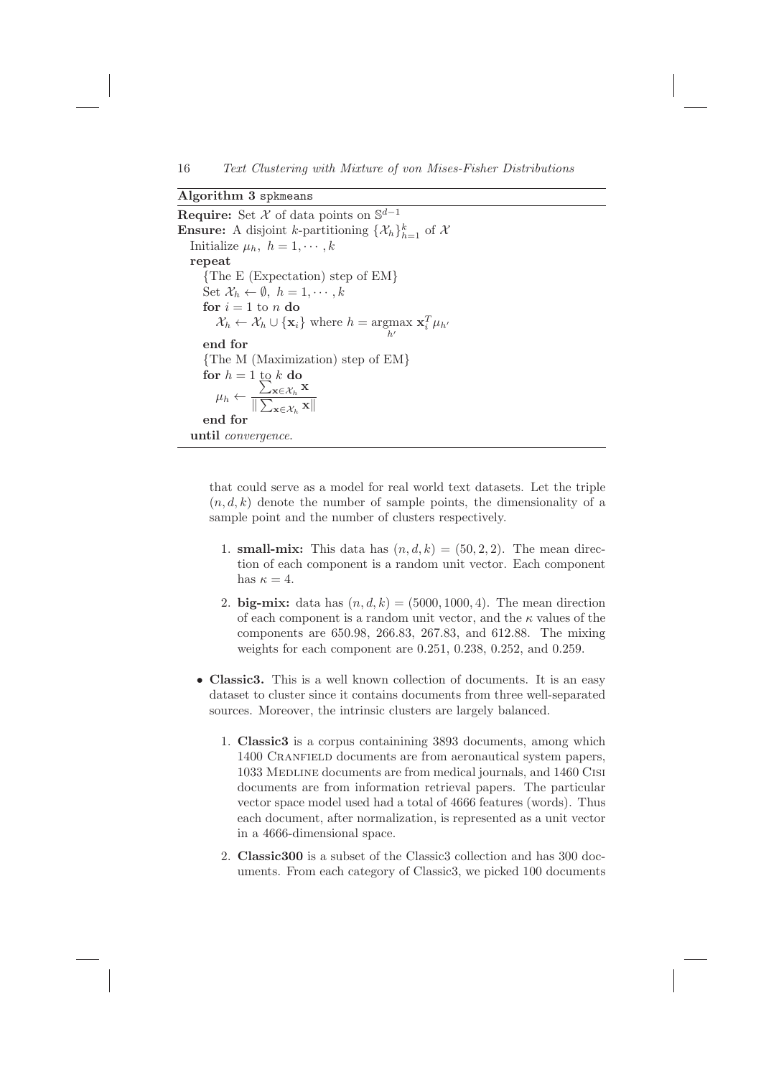## Algorithm 3 spkmeans

**Require:** Set  $\mathcal X$  of data points on  $\mathbb S^{d-1}$ **Ensure:** A disjoint *k*-partitioning  $\{\mathcal{X}_h\}_{h=1}^k$  of  $\mathcal{X}$ Initialize  $\mu_h$ ,  $h = 1, \dots, k$ repeat {The E (Expectation) step of EM} Set  $\mathcal{X}_h \leftarrow \emptyset, h = 1, \cdots, k$ for  $i = 1$  to  $n$  do  $\mathcal{X}_h \leftarrow \mathcal{X}_h \cup {\mathbf{x}_i}$  where  $h = \underset{h'}{\text{argmax }} {\mathbf{x}_i^T \mu_{h'}}$ end for {The M (Maximization) step of EM} for  $h = 1$  to  $k$  do  $\mu_h \leftarrow$  $\sum_{\mathbf{x} \in \mathcal{X}_h} \mathbf{x}$  $\|\sum_{\mathbf{x} \in \mathcal{X}_h} \mathbf{x}\|$ end for until convergence.

> that could serve as a model for real world text datasets. Let the triple  $(n, d, k)$  denote the number of sample points, the dimensionality of a sample point and the number of clusters respectively.

- 1. small-mix: This data has  $(n, d, k) = (50, 2, 2)$ . The mean direction of each component is a random unit vector. Each component has  $\kappa = 4$ .
- 2. big-mix: data has  $(n, d, k) = (5000, 1000, 4)$ . The mean direction of each component is a random unit vector, and the  $\kappa$  values of the components are 650.98, 266.83, 267.83, and 612.88. The mixing weights for each component are 0.251, 0.238, 0.252, and 0.259.
- Classic3. This is a well known collection of documents. It is an easy dataset to cluster since it contains documents from three well-separated sources. Moreover, the intrinsic clusters are largely balanced.
	- 1. Classic3 is a corpus containining 3893 documents, among which 1400 Cranfield documents are from aeronautical system papers, 1033 MEDLINE documents are from medical journals, and 1460 CISI documents are from information retrieval papers. The particular vector space model used had a total of 4666 features (words). Thus each document, after normalization, is represented as a unit vector in a 4666-dimensional space.
	- 2. Classic300 is a subset of the Classic3 collection and has 300 documents. From each category of Classic3, we picked 100 documents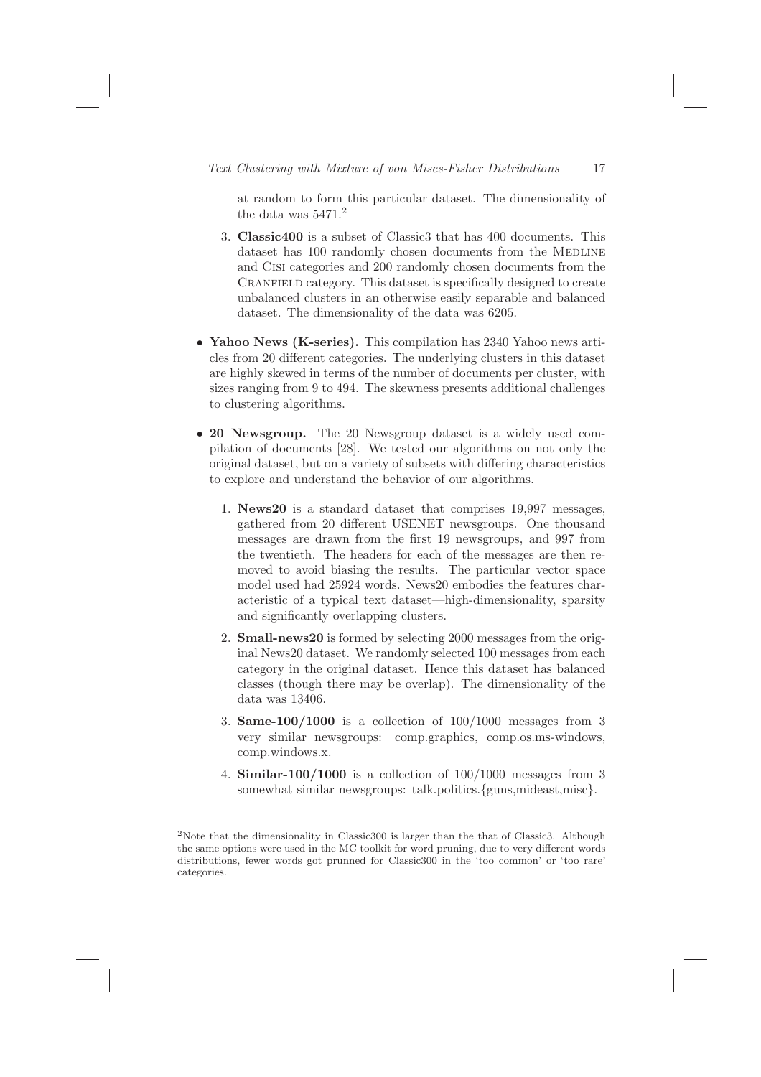at random to form this particular dataset. The dimensionality of the data was  $5471.<sup>2</sup>$ 

- 3. Classic400 is a subset of Classic3 that has 400 documents. This dataset has 100 randomly chosen documents from the MEDLINE and Cisi categories and 200 randomly chosen documents from the CRANFIELD category. This dataset is specifically designed to create unbalanced clusters in an otherwise easily separable and balanced dataset. The dimensionality of the data was 6205.
- Yahoo News (K-series). This compilation has 2340 Yahoo news articles from 20 different categories. The underlying clusters in this dataset are highly skewed in terms of the number of documents per cluster, with sizes ranging from 9 to 494. The skewness presents additional challenges to clustering algorithms.
- 20 Newsgroup. The 20 Newsgroup dataset is a widely used compilation of documents [28]. We tested our algorithms on not only the original dataset, but on a variety of subsets with differing characteristics to explore and understand the behavior of our algorithms.
	- 1. News20 is a standard dataset that comprises 19,997 messages, gathered from 20 different USENET newsgroups. One thousand messages are drawn from the first 19 newsgroups, and 997 from the twentieth. The headers for each of the messages are then removed to avoid biasing the results. The particular vector space model used had 25924 words. News20 embodies the features characteristic of a typical text dataset—high-dimensionality, sparsity and significantly overlapping clusters.
	- 2. Small-news20 is formed by selecting 2000 messages from the original News20 dataset. We randomly selected 100 messages from each category in the original dataset. Hence this dataset has balanced classes (though there may be overlap). The dimensionality of the data was 13406.
	- 3. Same-100/1000 is a collection of 100/1000 messages from 3 very similar newsgroups: comp.graphics, comp.os.ms-windows, comp.windows.x.
	- 4. Similar-100/1000 is a collection of 100/1000 messages from 3 somewhat similar newsgroups: talk.politics.{guns,mideast,misc}.

<sup>&</sup>lt;sup>2</sup>Note that the dimensionality in Classic300 is larger than the that of Classic3. Although the same options were used in the MC toolkit for word pruning, due to very different words distributions, fewer words got prunned for Classic300 in the 'too common' or 'too rare' categories.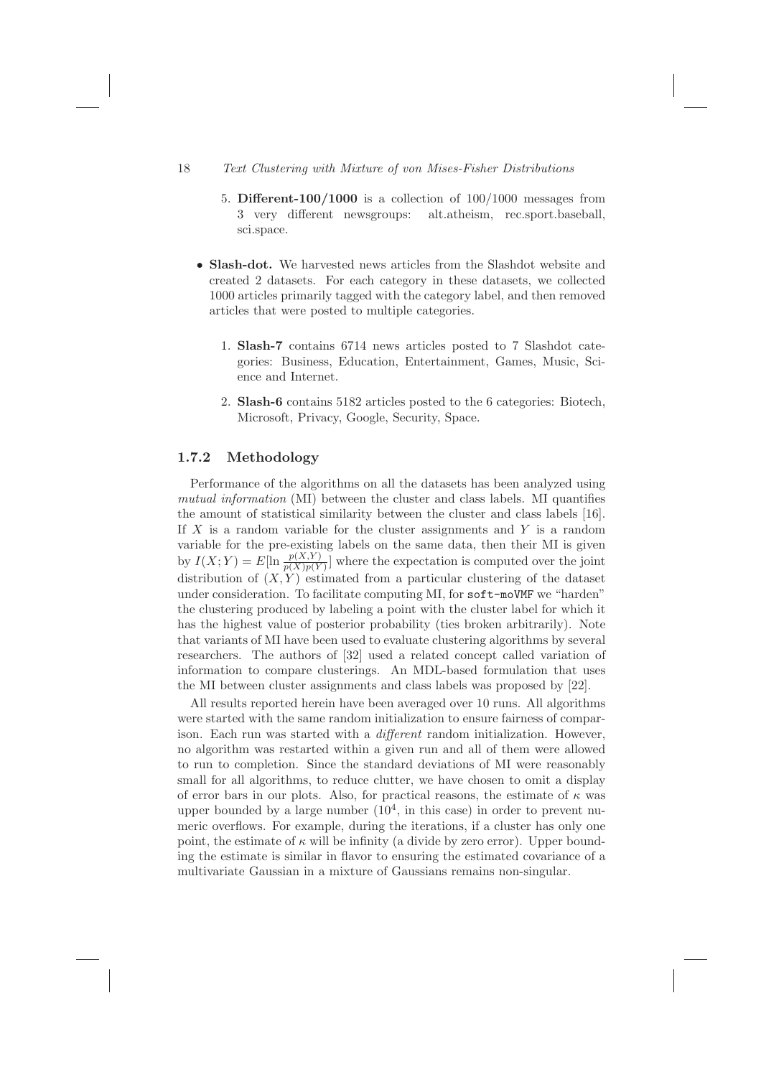- 5. Different-100/1000 is a collection of 100/1000 messages from 3 very different newsgroups: alt.atheism, rec.sport.baseball, sci.space.
- Slash-dot. We harvested news articles from the Slashdot website and created 2 datasets. For each category in these datasets, we collected 1000 articles primarily tagged with the category label, and then removed articles that were posted to multiple categories.
	- 1. Slash-7 contains 6714 news articles posted to 7 Slashdot categories: Business, Education, Entertainment, Games, Music, Science and Internet.
	- 2. Slash-6 contains 5182 articles posted to the 6 categories: Biotech, Microsoft, Privacy, Google, Security, Space.

## 1.7.2 Methodology

Performance of the algorithms on all the datasets has been analyzed using mutual information (MI) between the cluster and class labels. MI quantifies the amount of statistical similarity between the cluster and class labels [16]. If  $X$  is a random variable for the cluster assignments and  $Y$  is a random variable for the pre-existing labels on the same data, then their MI is given by  $I(X;Y) = E[\ln \frac{p(X,Y)}{p(X)p(Y)}]$  where the expectation is computed over the joint distribution of  $(X, Y)$  estimated from a particular clustering of the dataset under consideration. To facilitate computing MI, for soft-moVMF we "harden" the clustering produced by labeling a point with the cluster label for which it has the highest value of posterior probability (ties broken arbitrarily). Note that variants of MI have been used to evaluate clustering algorithms by several researchers. The authors of [32] used a related concept called variation of information to compare clusterings. An MDL-based formulation that uses the MI between cluster assignments and class labels was proposed by [22].

All results reported herein have been averaged over 10 runs. All algorithms were started with the same random initialization to ensure fairness of comparison. Each run was started with a different random initialization. However, no algorithm was restarted within a given run and all of them were allowed to run to completion. Since the standard deviations of MI were reasonably small for all algorithms, to reduce clutter, we have chosen to omit a display of error bars in our plots. Also, for practical reasons, the estimate of  $\kappa$  was upper bounded by a large number  $(10<sup>4</sup>$ , in this case) in order to prevent numeric overflows. For example, during the iterations, if a cluster has only one point, the estimate of  $\kappa$  will be infinity (a divide by zero error). Upper bounding the estimate is similar in flavor to ensuring the estimated covariance of a multivariate Gaussian in a mixture of Gaussians remains non-singular.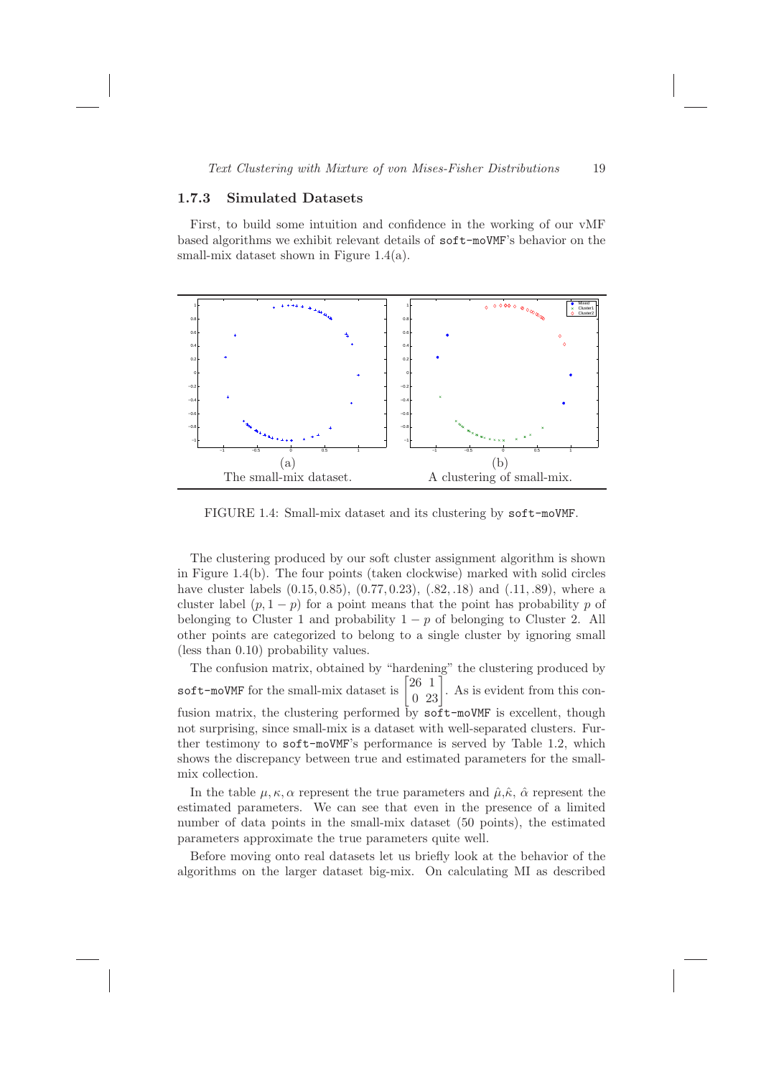#### 1.7.3 Simulated Datasets

First, to build some intuition and confidence in the working of our vMF based algorithms we exhibit relevant details of soft-moVMF's behavior on the small-mix dataset shown in Figure 1.4(a).



FIGURE 1.4: Small-mix dataset and its clustering by soft-moVMF.

The clustering produced by our soft cluster assignment algorithm is shown in Figure 1.4(b). The four points (taken clockwise) marked with solid circles have cluster labels  $(0.15, 0.85), (0.77, 0.23), (0.82, 0.18)$  and  $(0.11, 0.89)$ , where a cluster label  $(p, 1-p)$  for a point means that the point has probability p of belonging to Cluster 1 and probability  $1 - p$  of belonging to Cluster 2. All other points are categorized to belong to a single cluster by ignoring small (less than 0.10) probability values.

The confusion matrix, obtained by "hardening" the clustering produced by soft-moVMF for the small-mix dataset is  $\begin{bmatrix} 26 & 1 \\ 0 & 23 \end{bmatrix}$ . As is evident from this confusion matrix, the clustering performed by soft-moVMF is excellent, though not surprising, since small-mix is a dataset with well-separated clusters. Further testimony to soft-moVMF's performance is served by Table 1.2, which shows the discrepancy between true and estimated parameters for the smallmix collection.

In the table  $\mu, \kappa, \alpha$  represent the true parameters and  $\hat{\mu}, \hat{\kappa}, \hat{\alpha}$  represent the estimated parameters. We can see that even in the presence of a limited number of data points in the small-mix dataset (50 points), the estimated parameters approximate the true parameters quite well.

Before moving onto real datasets let us briefly look at the behavior of the algorithms on the larger dataset big-mix. On calculating MI as described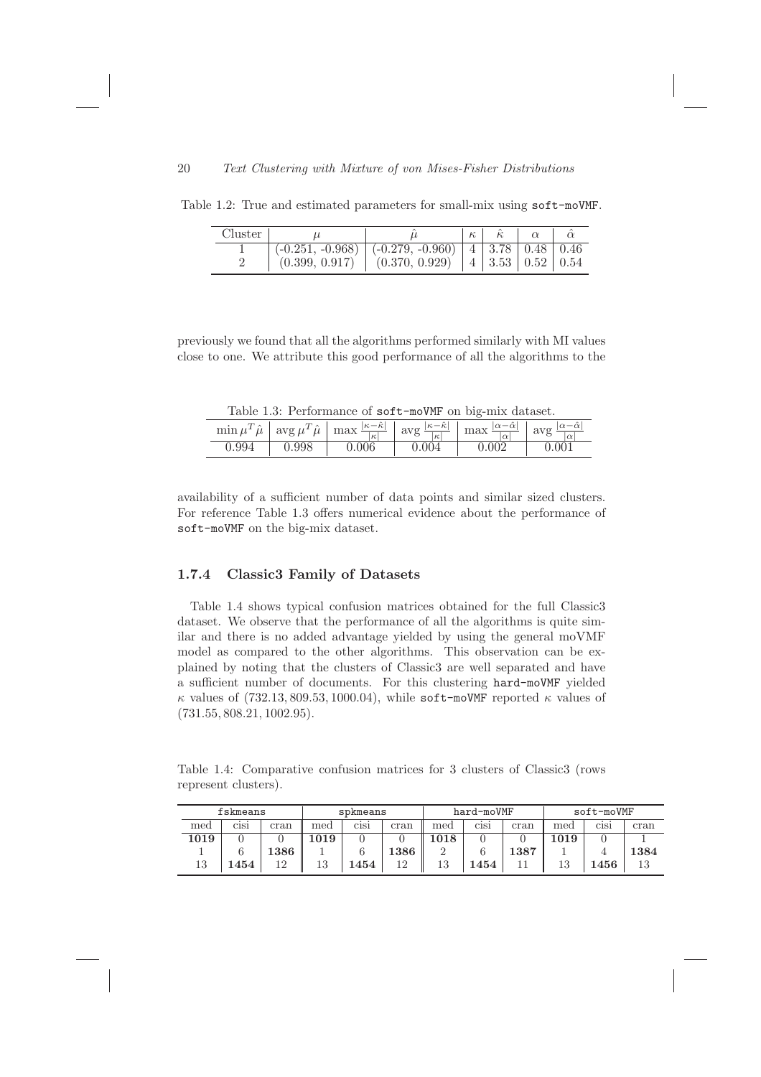Cluster µ µˆ κ κˆ α αˆ  $\begin{array}{|c|c|c|c|c|c|c|c|c|}\hline 1 & (-0.251, -0.968) & (-0.279, -0.960) & 4 & 3.78 & 0.48 & 0.46 \\ \hline 2 & (0.399, 0.917) & (0.370, 0.929) & 4 & 3.53 & 0.52 & 0.54 \\ \hline \end{array}$  $(0.370, 0.929)$ 

Table 1.2: True and estimated parameters for small-mix using soft-moVMF.

previously we found that all the algorithms performed similarly with MI values close to one. We attribute this good performance of all the algorithms to the

Table 1.3: Performance of soft-moVMF on big-mix dataset.

| $\curvearrowright$<br>$\min \mu^2$<br>μ | $\hat{\mu}$<br>$\arg \mu^{\perp}$ | $ \kappa-\hat{\kappa} $<br>max<br>$\kappa$ | $ \kappa-\hat{\kappa} $<br>avg<br>চ<br>$\kappa$ | $\alpha-\hat{\alpha}$<br>max<br>$\alpha$ | $\alpha$<br>avg<br>ਟ<br>$\alpha$ |
|-----------------------------------------|-----------------------------------|--------------------------------------------|-------------------------------------------------|------------------------------------------|----------------------------------|
| 0.994                                   | ひょううつ                             | U.UU6                                      | 1.004                                           |                                          |                                  |

availability of a sufficient number of data points and similar sized clusters. For reference Table 1.3 offers numerical evidence about the performance of soft-moVMF on the big-mix dataset.

## 1.7.4 Classic3 Family of Datasets

Table 1.4 shows typical confusion matrices obtained for the full Classic3 dataset. We observe that the performance of all the algorithms is quite similar and there is no added advantage yielded by using the general moVMF model as compared to the other algorithms. This observation can be explained by noting that the clusters of Classic3 are well separated and have a sufficient number of documents. For this clustering hard-moVMF yielded κ values of (732.13, 809.53, 1000.04), while soft-moVMF reported κ values of  $(731.55, 808.21, 1002.95).$ 

Table 1.4: Comparative confusion matrices for 3 clusters of Classic3 (rows represent clusters).

| fskmeans |          | spkmeans             |      |      | hard-moVMF                                       |      |      | soft-moVMF                           |      |      |             |      |
|----------|----------|----------------------|------|------|--------------------------------------------------|------|------|--------------------------------------|------|------|-------------|------|
|          | med      | . .<br>$_{\rm CIS1}$ | cran | med  | $\cdot$ $\cdot$<br>C <sub>1</sub> S <sub>1</sub> | cran | med  | . .<br>C <sub>1</sub> S <sub>1</sub> | cran | med  | <b>CISI</b> | cran |
|          | $1019\,$ |                      |      | 1019 |                                                  |      | .018 |                                      |      | 1019 |             |      |
|          |          |                      | 1386 |      |                                                  | 1386 |      |                                      | 1387 |      |             | 1384 |
|          | 13       | 1454                 | 12   | 13   | 1454                                             | 19   | 13   | 1454                                 |      | 13   | 1456        | 13   |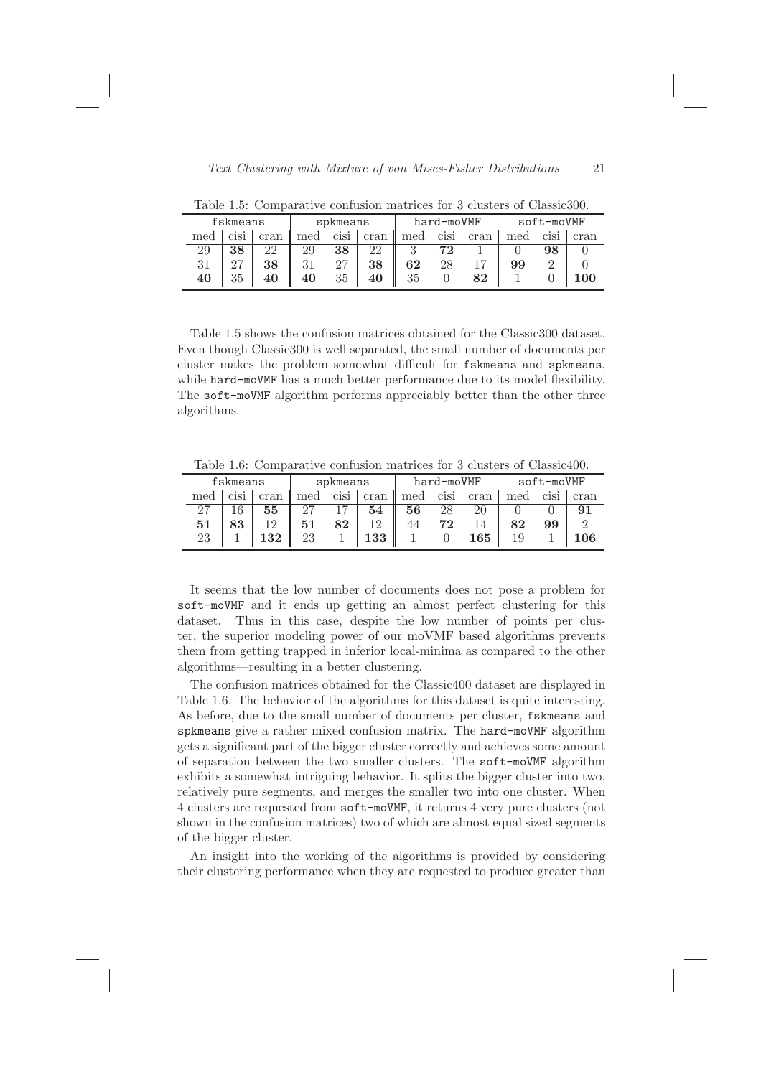| fskmeans |      | spkmeans |     |                               | hard-moVMF |     |             | soft-moVMF |     |             |         |
|----------|------|----------|-----|-------------------------------|------------|-----|-------------|------------|-----|-------------|---------|
| mec      | CISI | cran     | med | C <sub>1</sub> S <sub>1</sub> | cran       | med | <b>CISI</b> | cran       | med | <b>CIS1</b> | cran    |
| 29       | 38   | າາ       | 29  | 38                            | 22         |     | 72          |            |     | 98          |         |
|          | 27   | 38       | 21  | 27                            | 38         | 62  | 28          |            | 99  |             |         |
| 40       | 35   | 40       | 40  | 35                            | 40         | 35  |             | 82         |     |             | $100\,$ |

Table 1.5: Comparative confusion matrices for 3 clusters of Classic300.

Table 1.5 shows the confusion matrices obtained for the Classic300 dataset. Even though Classic300 is well separated, the small number of documents per cluster makes the problem somewhat difficult for fskmeans and spkmeans, while hard-moVMF has a much better performance due to its model flexibility. The soft-moVMF algorithm performs appreciably better than the other three algorithms.

Table 1.6: Comparative confusion matrices for 3 clusters of Classic400.

| fskmeans |      | spkmeans      |     |                               | hard-moVMF |     |             | soft-moVMF |     |                               |          |
|----------|------|---------------|-----|-------------------------------|------------|-----|-------------|------------|-----|-------------------------------|----------|
| med      | CISI | $_{\rm cran}$ | med | C <sub>1</sub> S <sub>1</sub> | cran       | med | <b>CIS1</b> | cran       | med | C <sub>1</sub> S <sub>1</sub> | cran     |
| -27      | 16   | 55            | -27 | . H                           | 54         | 56  | 28          | 20         |     |                               | 91       |
| 51       | 83   | 12.           | 51  | 82                            | 19.        | 44  | 72          |            | 82  | 99                            | $\Omega$ |
| 23       |      | 132           | 23  |                               | 133        |     |             | 165        | 19  |                               | 106      |
|          |      |               |     |                               |            |     |             |            |     |                               |          |

It seems that the low number of documents does not pose a problem for soft-moVMF and it ends up getting an almost perfect clustering for this dataset. Thus in this case, despite the low number of points per cluster, the superior modeling power of our moVMF based algorithms prevents them from getting trapped in inferior local-minima as compared to the other algorithms—resulting in a better clustering.

The confusion matrices obtained for the Classic400 dataset are displayed in Table 1.6. The behavior of the algorithms for this dataset is quite interesting. As before, due to the small number of documents per cluster, fskmeans and spkmeans give a rather mixed confusion matrix. The hard-moVMF algorithm gets a significant part of the bigger cluster correctly and achieves some amount of separation between the two smaller clusters. The soft-moVMF algorithm exhibits a somewhat intriguing behavior. It splits the bigger cluster into two, relatively pure segments, and merges the smaller two into one cluster. When 4 clusters are requested from soft-moVMF, it returns 4 very pure clusters (not shown in the confusion matrices) two of which are almost equal sized segments of the bigger cluster.

An insight into the working of the algorithms is provided by considering their clustering performance when they are requested to produce greater than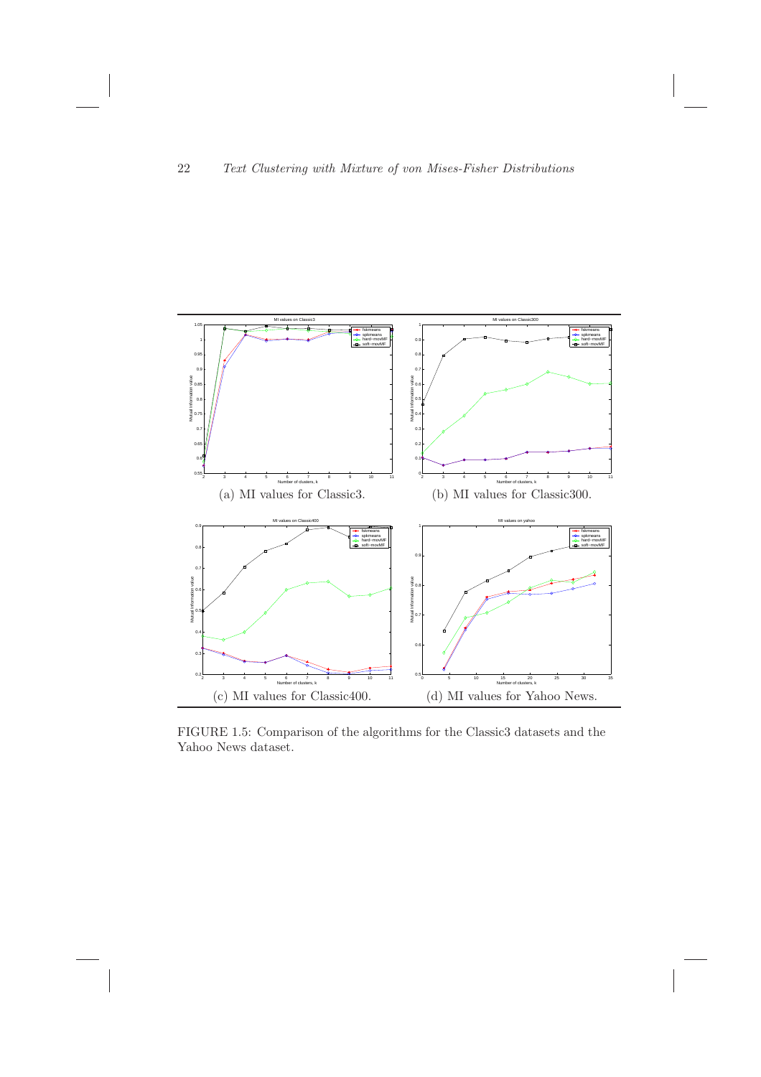

FIGURE 1.5: Comparison of the algorithms for the Classic3 datasets and the Yahoo News dataset.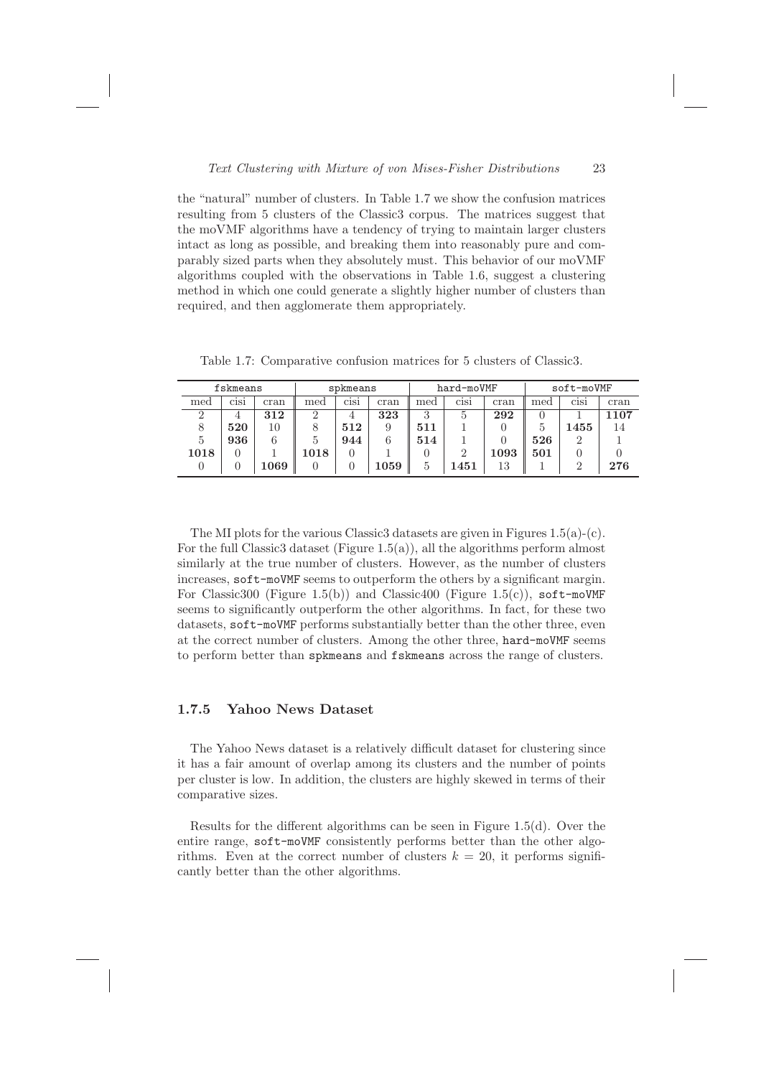the "natural" number of clusters. In Table 1.7 we show the confusion matrices resulting from 5 clusters of the Classic3 corpus. The matrices suggest that the moVMF algorithms have a tendency of trying to maintain larger clusters intact as long as possible, and breaking them into reasonably pure and comparably sized parts when they absolutely must. This behavior of our moVMF algorithms coupled with the observations in Table 1.6, suggest a clustering method in which one could generate a slightly higher number of clusters than required, and then agglomerate them appropriately.

Table 1.7: Comparative confusion matrices for 5 clusters of Classic3.

|      | fskmeans                             |      |                  | spkmeans                                         |      |     | hard-moVMF                               |      |     | soft-moVMF                    |      |
|------|--------------------------------------|------|------------------|--------------------------------------------------|------|-----|------------------------------------------|------|-----|-------------------------------|------|
| med  | . .<br>C <sub>1</sub> S <sub>1</sub> | cran | med              | $\cdot$ $\cdot$<br>C <sub>1</sub> S <sub>1</sub> | cran | med | $\cdot$<br>C <sub>1</sub> S <sub>1</sub> | cran | med | C <sub>1</sub> S <sub>1</sub> | cran |
|      |                                      | 312  | 2                | 4                                                | 323  | 3   | 5                                        | 292  |     |                               | 1107 |
| 8    | 520                                  | 10   | 8                | 512                                              | 9    | 511 |                                          |      | Ð   | 1455                          | 14   |
| 5    | 936                                  | 6    | 5                | 944                                              | 6    | 514 |                                          |      | 526 |                               |      |
| 1018 |                                      |      | $1018\,$         | 0                                                |      |     | $\overline{2}$                           | 1093 | 501 |                               |      |
|      |                                      | 1069 | $\left( \right)$ |                                                  | 1059 | 5   | $1451\,$                                 | 13   |     |                               | 276  |

The MI plots for the various Classic3 datasets are given in Figures  $1.5(a)-(c)$ . For the full Classic3 dataset (Figure 1.5(a)), all the algorithms perform almost similarly at the true number of clusters. However, as the number of clusters increases, soft-moVMF seems to outperform the others by a significant margin. For Classic300 (Figure 1.5(b)) and Classic400 (Figure 1.5(c)), soft-moVMF seems to significantly outperform the other algorithms. In fact, for these two datasets, soft-moVMF performs substantially better than the other three, even at the correct number of clusters. Among the other three, hard-moVMF seems to perform better than spkmeans and fskmeans across the range of clusters.

## 1.7.5 Yahoo News Dataset

The Yahoo News dataset is a relatively difficult dataset for clustering since it has a fair amount of overlap among its clusters and the number of points per cluster is low. In addition, the clusters are highly skewed in terms of their comparative sizes.

Results for the different algorithms can be seen in Figure 1.5(d). Over the entire range, soft-moVMF consistently performs better than the other algorithms. Even at the correct number of clusters  $k = 20$ , it performs significantly better than the other algorithms.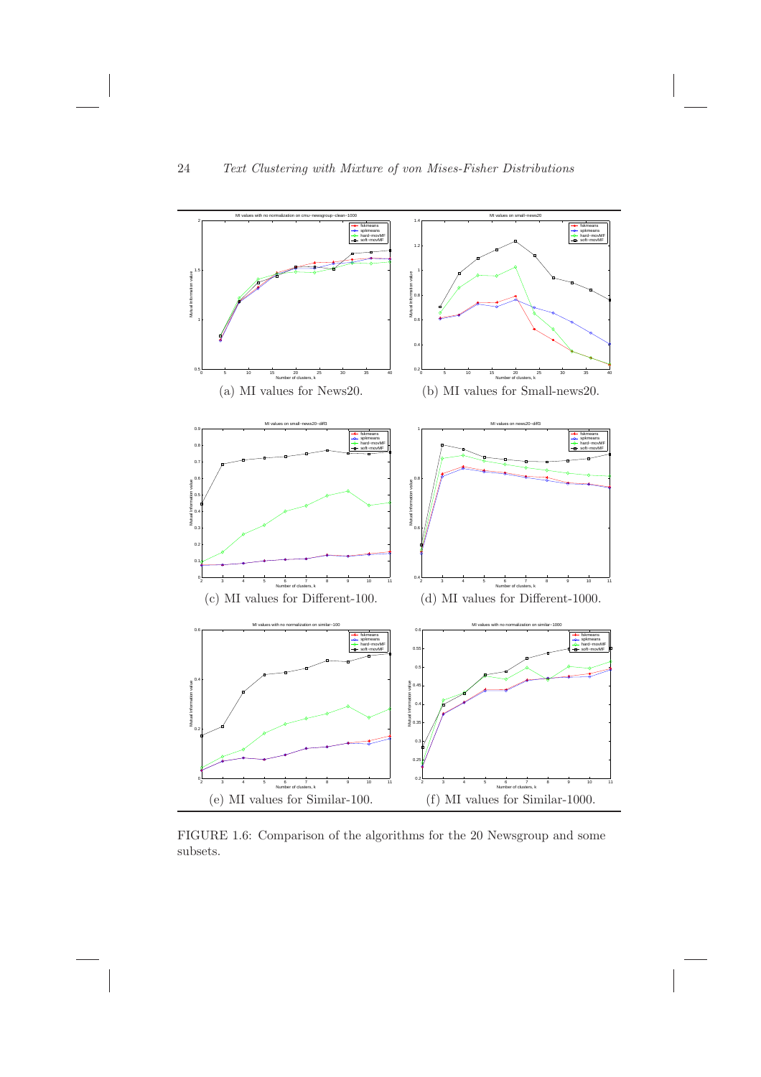

FIGURE 1.6: Comparison of the algorithms for the 20 Newsgroup and some subsets.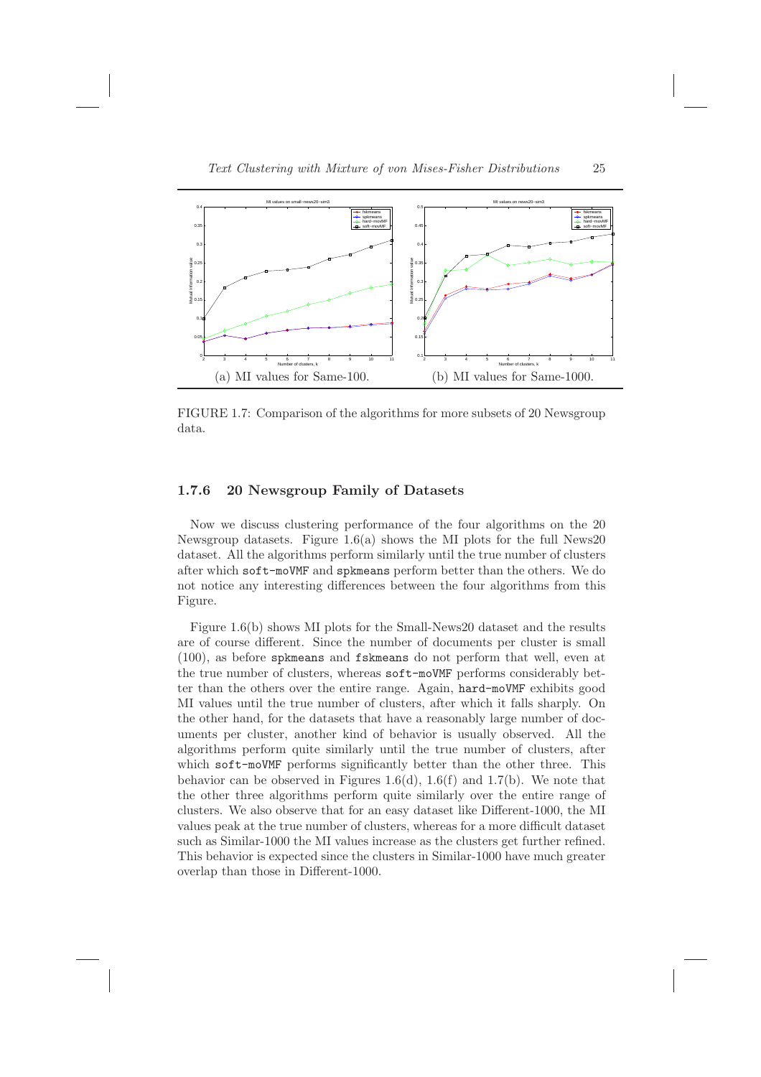

FIGURE 1.7: Comparison of the algorithms for more subsets of 20 Newsgroup data.

## 1.7.6 20 Newsgroup Family of Datasets

Now we discuss clustering performance of the four algorithms on the 20 Newsgroup datasets. Figure 1.6(a) shows the MI plots for the full News20 dataset. All the algorithms perform similarly until the true number of clusters after which soft-moVMF and spkmeans perform better than the others. We do not notice any interesting differences between the four algorithms from this Figure.

Figure 1.6(b) shows MI plots for the Small-News20 dataset and the results are of course different. Since the number of documents per cluster is small (100), as before spkmeans and fskmeans do not perform that well, even at the true number of clusters, whereas soft-moVMF performs considerably better than the others over the entire range. Again, hard-moVMF exhibits good MI values until the true number of clusters, after which it falls sharply. On the other hand, for the datasets that have a reasonably large number of documents per cluster, another kind of behavior is usually observed. All the algorithms perform quite similarly until the true number of clusters, after which soft-moVMF performs significantly better than the other three. This behavior can be observed in Figures 1.6(d), 1.6(f) and 1.7(b). We note that the other three algorithms perform quite similarly over the entire range of clusters. We also observe that for an easy dataset like Different-1000, the MI values peak at the true number of clusters, whereas for a more difficult dataset such as Similar-1000 the MI values increase as the clusters get further refined. This behavior is expected since the clusters in Similar-1000 have much greater overlap than those in Different-1000.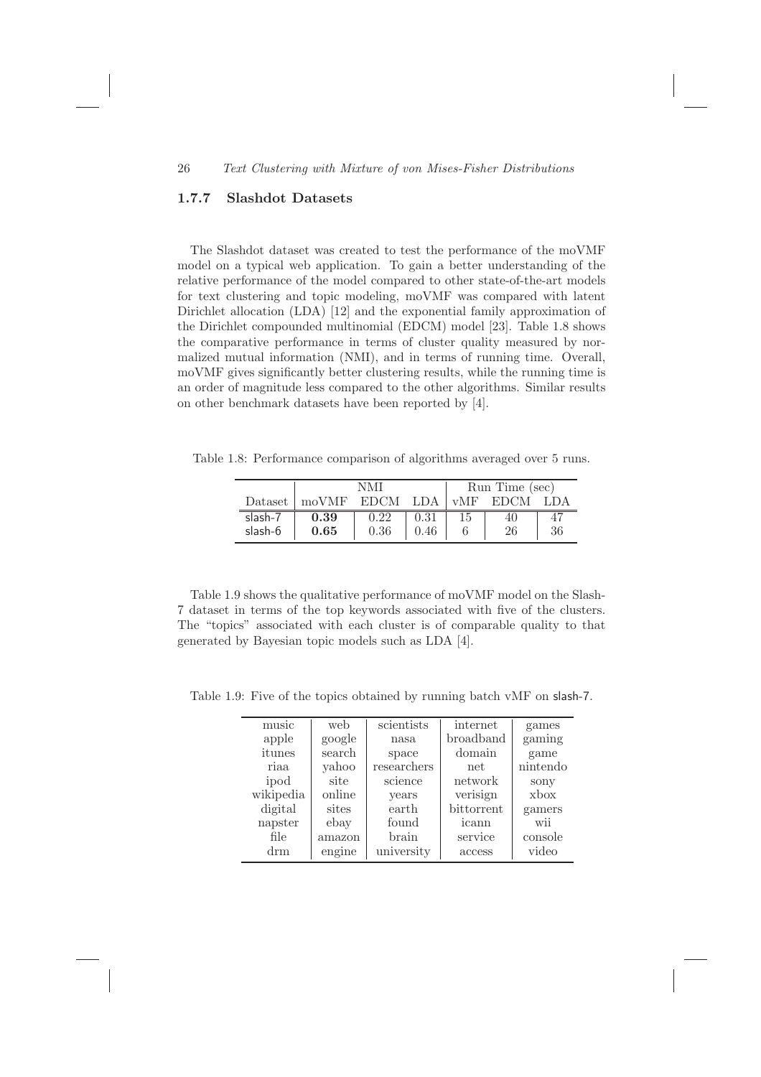## 1.7.7 Slashdot Datasets

The Slashdot dataset was created to test the performance of the moVMF model on a typical web application. To gain a better understanding of the relative performance of the model compared to other state-of-the-art models for text clustering and topic modeling, moVMF was compared with latent Dirichlet allocation (LDA) [12] and the exponential family approximation of the Dirichlet compounded multinomial (EDCM) model [23]. Table 1.8 shows the comparative performance in terms of cluster quality measured by normalized mutual information (NMI), and in terms of running time. Overall, moVMF gives significantly better clustering results, while the running time is an order of magnitude less compared to the other algorithms. Similar results on other benchmark datasets have been reported by [4].

Table 1.8: Performance comparison of algorithms averaged over 5 runs.

|         |                | NMI  | Run Time (sec) |     |             |     |
|---------|----------------|------|----------------|-----|-------------|-----|
| Dataset | moVMF EDCM LDA |      |                | vMF | <b>EDCM</b> | LDA |
| slash-7 | 0.39           | 0.22 | 0.31           | 15  | 40          |     |
| slash-6 | 0.65           | 0.36 | 0.46           |     | 26          | 36  |

Table 1.9 shows the qualitative performance of moVMF model on the Slash-7 dataset in terms of the top keywords associated with five of the clusters. The "topics" associated with each cluster is of comparable quality to that generated by Bayesian topic models such as LDA [4].

Table 1.9: Five of the topics obtained by running batch vMF on slash-7.

| music     | web    | scientists  | internet   | games    |
|-----------|--------|-------------|------------|----------|
| apple     | google | nasa        | broadband  | gaming   |
| itunes    | search | space       | domain     | game     |
| riaa      | yahoo  | researchers | net        | nintendo |
| ipod      | site   | science     | network    | sony     |
| wikipedia | online | years       | verisign   | xbox     |
| digital   | sites  | earth       | bittorrent | gamers   |
| napster   | ebay   | found       | icann      | wii      |
| file      | amazon | brain       | service    | console  |
| drm       | engine | university  | access     | video    |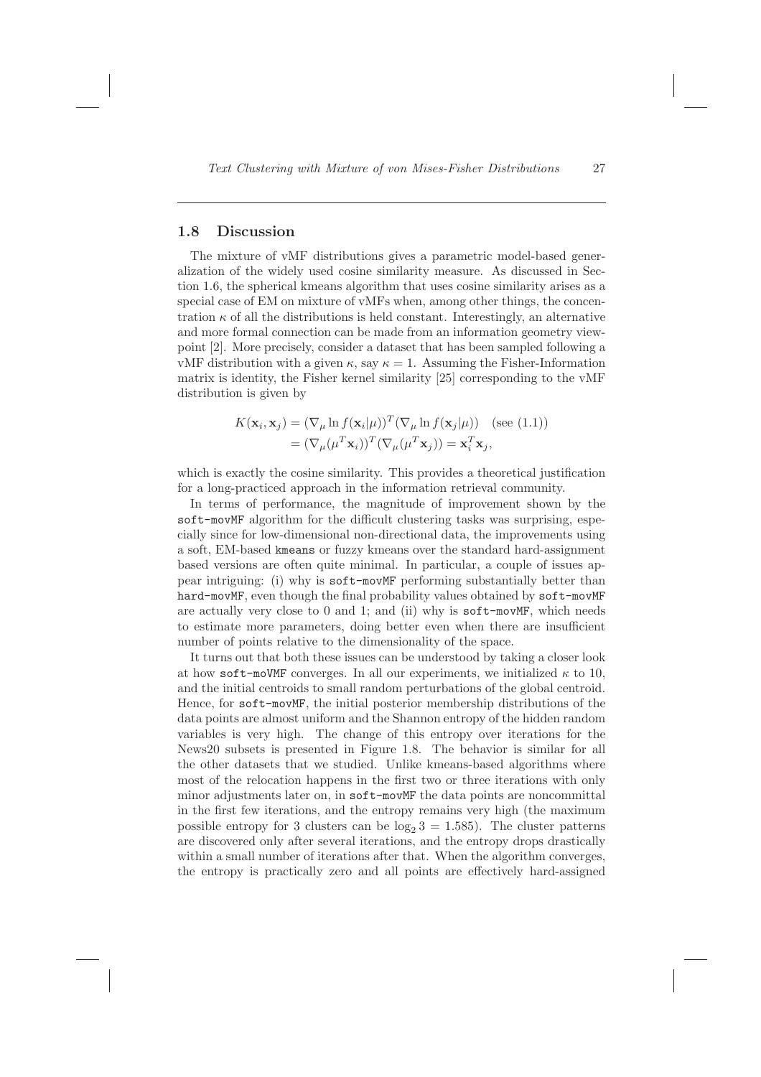## 1.8 Discussion

The mixture of vMF distributions gives a parametric model-based generalization of the widely used cosine similarity measure. As discussed in Section 1.6, the spherical kmeans algorithm that uses cosine similarity arises as a special case of EM on mixture of vMFs when, among other things, the concentration  $\kappa$  of all the distributions is held constant. Interestingly, an alternative and more formal connection can be made from an information geometry viewpoint [2]. More precisely, consider a dataset that has been sampled following a vMF distribution with a given  $\kappa$ , say  $\kappa = 1$ . Assuming the Fisher-Information matrix is identity, the Fisher kernel similarity [25] corresponding to the vMF distribution is given by

$$
K(\mathbf{x}_i, \mathbf{x}_j) = (\nabla_{\mu} \ln f(\mathbf{x}_i | \mu))^T (\nabla_{\mu} \ln f(\mathbf{x}_j | \mu)) \quad \text{(see (1.1))}
$$

$$
= (\nabla_{\mu} (\mu^T \mathbf{x}_i))^T (\nabla_{\mu} (\mu^T \mathbf{x}_j)) = \mathbf{x}_i^T \mathbf{x}_j,
$$

which is exactly the cosine similarity. This provides a theoretical justification for a long-practiced approach in the information retrieval community.

In terms of performance, the magnitude of improvement shown by the soft-movMF algorithm for the difficult clustering tasks was surprising, especially since for low-dimensional non-directional data, the improvements using a soft, EM-based kmeans or fuzzy kmeans over the standard hard-assignment based versions are often quite minimal. In particular, a couple of issues appear intriguing: (i) why is soft-movMF performing substantially better than hard-movMF, even though the final probability values obtained by  $\texttt{soft-movMF}$ are actually very close to  $0$  and  $1$ ; and  $(ii)$  why is soft-movMF, which needs to estimate more parameters, doing better even when there are insufficient number of points relative to the dimensionality of the space.

It turns out that both these issues can be understood by taking a closer look at how soft-moVMF converges. In all our experiments, we initialized  $\kappa$  to 10, and the initial centroids to small random perturbations of the global centroid. Hence, for soft-movMF, the initial posterior membership distributions of the data points are almost uniform and the Shannon entropy of the hidden random variables is very high. The change of this entropy over iterations for the News20 subsets is presented in Figure 1.8. The behavior is similar for all the other datasets that we studied. Unlike kmeans-based algorithms where most of the relocation happens in the first two or three iterations with only minor adjustments later on, in soft-movMF the data points are noncommittal in the first few iterations, and the entropy remains very high (the maximum possible entropy for 3 clusters can be  $log_2 3 = 1.585$ . The cluster patterns are discovered only after several iterations, and the entropy drops drastically within a small number of iterations after that. When the algorithm converges, the entropy is practically zero and all points are effectively hard-assigned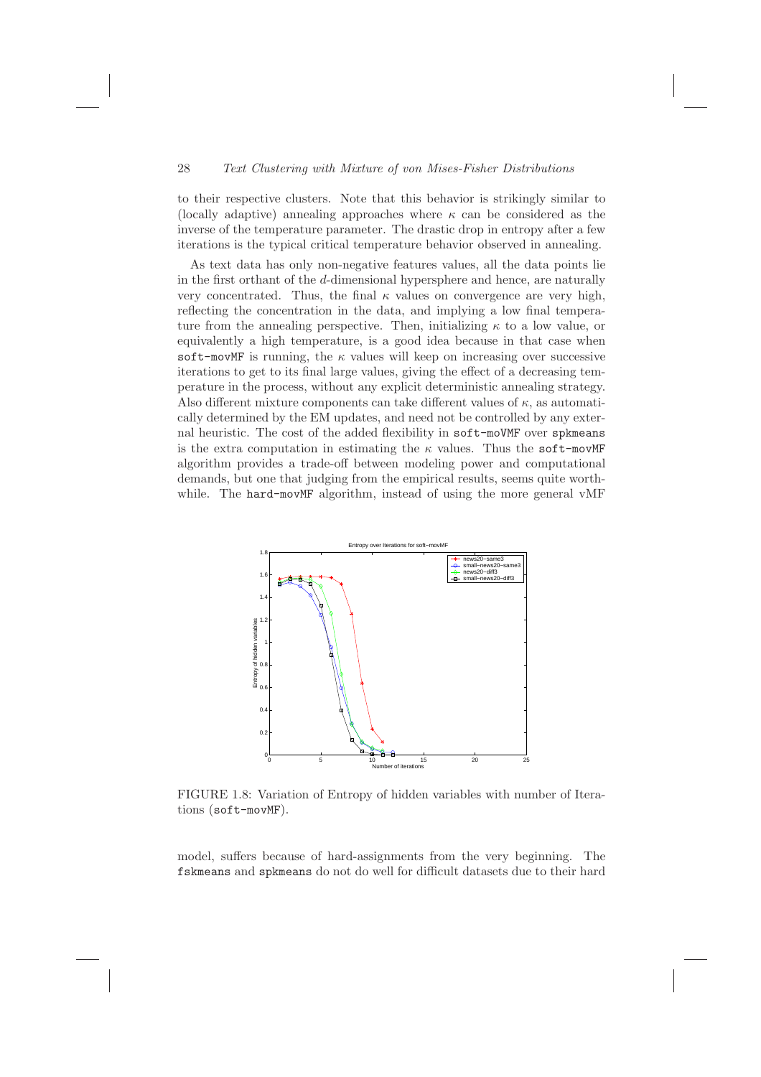to their respective clusters. Note that this behavior is strikingly similar to (locally adaptive) annealing approaches where  $\kappa$  can be considered as the inverse of the temperature parameter. The drastic drop in entropy after a few iterations is the typical critical temperature behavior observed in annealing.

As text data has only non-negative features values, all the data points lie in the first orthant of the d-dimensional hypersphere and hence, are naturally very concentrated. Thus, the final  $\kappa$  values on convergence are very high, reflecting the concentration in the data, and implying a low final temperature from the annealing perspective. Then, initializing  $\kappa$  to a low value, or equivalently a high temperature, is a good idea because in that case when soft-movMF is running, the  $\kappa$  values will keep on increasing over successive iterations to get to its final large values, giving the effect of a decreasing temperature in the process, without any explicit deterministic annealing strategy. Also different mixture components can take different values of  $\kappa$ , as automatically determined by the EM updates, and need not be controlled by any external heuristic. The cost of the added flexibility in soft-moVMF over spkmeans is the extra computation in estimating the  $\kappa$  values. Thus the soft-movMF algorithm provides a trade-off between modeling power and computational demands, but one that judging from the empirical results, seems quite worthwhile. The hard-movMF algorithm, instead of using the more general vMF



FIGURE 1.8: Variation of Entropy of hidden variables with number of Iterations (soft-movMF).

model, suffers because of hard-assignments from the very beginning. The fskmeans and spkmeans do not do well for difficult datasets due to their hard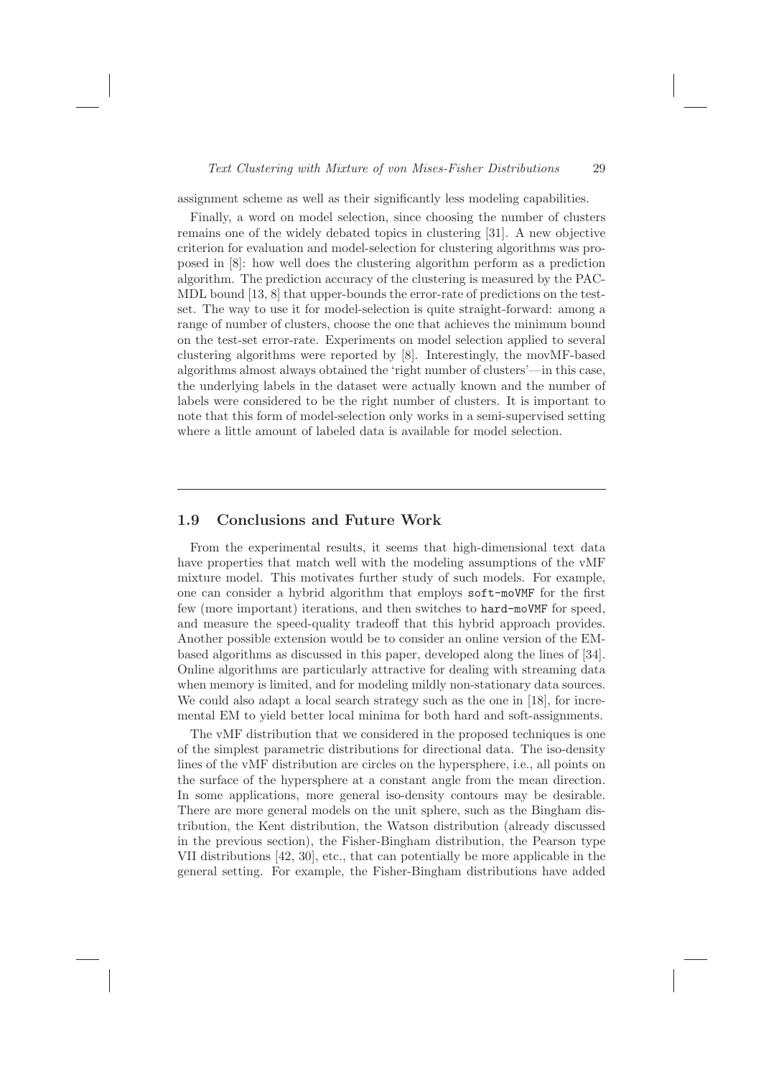assignment scheme as well as their significantly less modeling capabilities.

Finally, a word on model selection, since choosing the number of clusters remains one of the widely debated topics in clustering [31]. A new objective criterion for evaluation and model-selection for clustering algorithms was proposed in [8]: how well does the clustering algorithm perform as a prediction algorithm. The prediction accuracy of the clustering is measured by the PAC-MDL bound [13, 8] that upper-bounds the error-rate of predictions on the testset. The way to use it for model-selection is quite straight-forward: among a range of number of clusters, choose the one that achieves the minimum bound on the test-set error-rate. Experiments on model selection applied to several clustering algorithms were reported by [8]. Interestingly, the movMF-based algorithms almost always obtained the 'right number of clusters'—in this case, the underlying labels in the dataset were actually known and the number of labels were considered to be the right number of clusters. It is important to note that this form of model-selection only works in a semi-supervised setting where a little amount of labeled data is available for model selection.

## 1.9 Conclusions and Future Work

From the experimental results, it seems that high-dimensional text data have properties that match well with the modeling assumptions of the vMF mixture model. This motivates further study of such models. For example, one can consider a hybrid algorithm that employs soft-moVMF for the first few (more important) iterations, and then switches to hard-moVMF for speed, and measure the speed-quality tradeoff that this hybrid approach provides. Another possible extension would be to consider an online version of the EMbased algorithms as discussed in this paper, developed along the lines of [34]. Online algorithms are particularly attractive for dealing with streaming data when memory is limited, and for modeling mildly non-stationary data sources. We could also adapt a local search strategy such as the one in [18], for incremental EM to yield better local minima for both hard and soft-assignments.

The vMF distribution that we considered in the proposed techniques is one of the simplest parametric distributions for directional data. The iso-density lines of the vMF distribution are circles on the hypersphere, i.e., all points on the surface of the hypersphere at a constant angle from the mean direction. In some applications, more general iso-density contours may be desirable. There are more general models on the unit sphere, such as the Bingham distribution, the Kent distribution, the Watson distribution (already discussed in the previous section), the Fisher-Bingham distribution, the Pearson type VII distributions [42, 30], etc., that can potentially be more applicable in the general setting. For example, the Fisher-Bingham distributions have added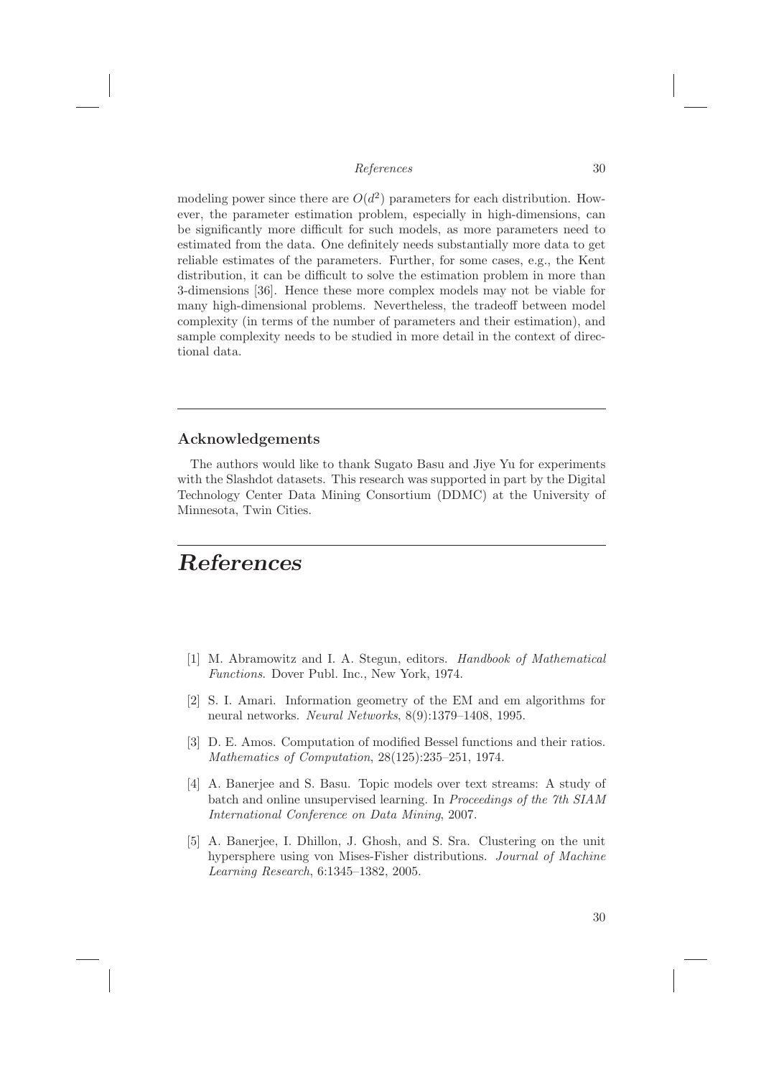modeling power since there are  $O(d^2)$  parameters for each distribution. However, the parameter estimation problem, especially in high-dimensions, can be significantly more difficult for such models, as more parameters need to estimated from the data. One definitely needs substantially more data to get reliable estimates of the parameters. Further, for some cases, e.g., the Kent distribution, it can be difficult to solve the estimation problem in more than 3-dimensions [36]. Hence these more complex models may not be viable for many high-dimensional problems. Nevertheless, the tradeoff between model complexity (in terms of the number of parameters and their estimation), and sample complexity needs to be studied in more detail in the context of directional data.

## Acknowledgements

The authors would like to thank Sugato Basu and Jiye Yu for experiments with the Slashdot datasets. This research was supported in part by the Digital Technology Center Data Mining Consortium (DDMC) at the University of Minnesota, Twin Cities.

- [1] M. Abramowitz and I. A. Stegun, editors. Handbook of Mathematical Functions. Dover Publ. Inc., New York, 1974.
- [2] S. I. Amari. Information geometry of the EM and em algorithms for neural networks. Neural Networks, 8(9):1379–1408, 1995.
- [3] D. E. Amos. Computation of modified Bessel functions and their ratios. Mathematics of Computation, 28(125):235–251, 1974.
- [4] A. Banerjee and S. Basu. Topic models over text streams: A study of batch and online unsupervised learning. In Proceedings of the 7th SIAM International Conference on Data Mining, 2007.
- [5] A. Banerjee, I. Dhillon, J. Ghosh, and S. Sra. Clustering on the unit hypersphere using von Mises-Fisher distributions. Journal of Machine Learning Research, 6:1345–1382, 2005.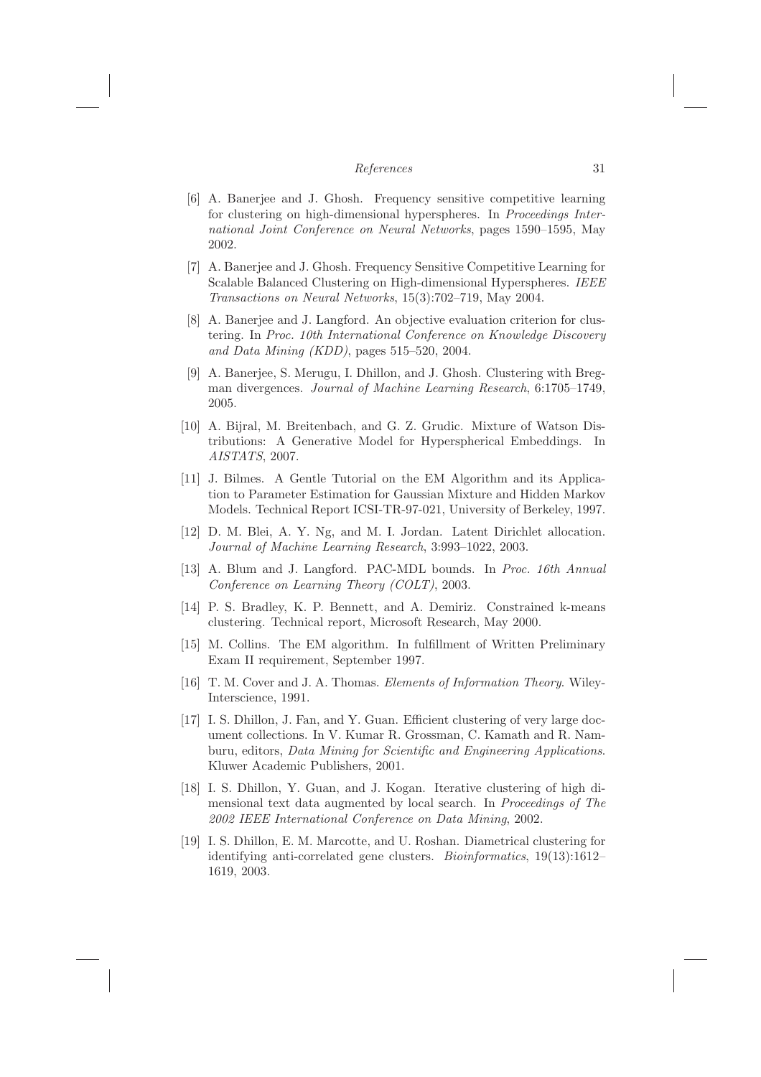- [6] A. Banerjee and J. Ghosh. Frequency sensitive competitive learning for clustering on high-dimensional hyperspheres. In Proceedings International Joint Conference on Neural Networks, pages 1590–1595, May 2002.
- [7] A. Banerjee and J. Ghosh. Frequency Sensitive Competitive Learning for Scalable Balanced Clustering on High-dimensional Hyperspheres. IEEE Transactions on Neural Networks, 15(3):702–719, May 2004.
- [8] A. Banerjee and J. Langford. An objective evaluation criterion for clustering. In Proc. 10th International Conference on Knowledge Discovery and Data Mining (KDD), pages 515–520, 2004.
- A. Banerjee, S. Merugu, I. Dhillon, and J. Ghosh. Clustering with Bregman divergences. Journal of Machine Learning Research, 6:1705–1749, 2005.
- [10] A. Bijral, M. Breitenbach, and G. Z. Grudic. Mixture of Watson Distributions: A Generative Model for Hyperspherical Embeddings. In AISTATS, 2007.
- [11] J. Bilmes. A Gentle Tutorial on the EM Algorithm and its Application to Parameter Estimation for Gaussian Mixture and Hidden Markov Models. Technical Report ICSI-TR-97-021, University of Berkeley, 1997.
- [12] D. M. Blei, A. Y. Ng, and M. I. Jordan. Latent Dirichlet allocation. Journal of Machine Learning Research, 3:993–1022, 2003.
- [13] A. Blum and J. Langford. PAC-MDL bounds. In Proc. 16th Annual Conference on Learning Theory (COLT), 2003.
- [14] P. S. Bradley, K. P. Bennett, and A. Demiriz. Constrained k-means clustering. Technical report, Microsoft Research, May 2000.
- [15] M. Collins. The EM algorithm. In fulfillment of Written Preliminary Exam II requirement, September 1997.
- [16] T. M. Cover and J. A. Thomas. Elements of Information Theory. Wiley-Interscience, 1991.
- [17] I. S. Dhillon, J. Fan, and Y. Guan. Efficient clustering of very large document collections. In V. Kumar R. Grossman, C. Kamath and R. Namburu, editors, Data Mining for Scientific and Engineering Applications. Kluwer Academic Publishers, 2001.
- [18] I. S. Dhillon, Y. Guan, and J. Kogan. Iterative clustering of high dimensional text data augmented by local search. In Proceedings of The 2002 IEEE International Conference on Data Mining, 2002.
- [19] I. S. Dhillon, E. M. Marcotte, and U. Roshan. Diametrical clustering for identifying anti-correlated gene clusters. Bioinformatics, 19(13):1612– 1619, 2003.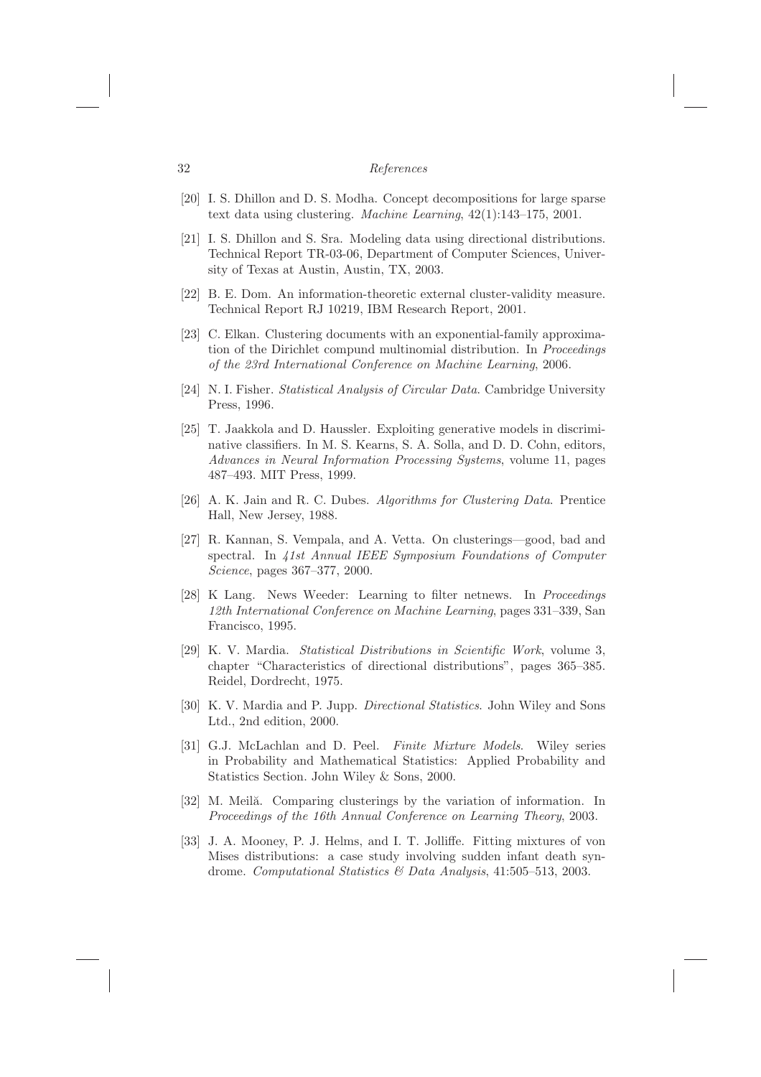- [20] I. S. Dhillon and D. S. Modha. Concept decompositions for large sparse text data using clustering. Machine Learning, 42(1):143–175, 2001.
- [21] I. S. Dhillon and S. Sra. Modeling data using directional distributions. Technical Report TR-03-06, Department of Computer Sciences, University of Texas at Austin, Austin, TX, 2003.
- [22] B. E. Dom. An information-theoretic external cluster-validity measure. Technical Report RJ 10219, IBM Research Report, 2001.
- [23] C. Elkan. Clustering documents with an exponential-family approximation of the Dirichlet compund multinomial distribution. In Proceedings of the 23rd International Conference on Machine Learning, 2006.
- [24] N. I. Fisher. Statistical Analysis of Circular Data. Cambridge University Press, 1996.
- [25] T. Jaakkola and D. Haussler. Exploiting generative models in discriminative classifiers. In M. S. Kearns, S. A. Solla, and D. D. Cohn, editors, Advances in Neural Information Processing Systems, volume 11, pages 487–493. MIT Press, 1999.
- [26] A. K. Jain and R. C. Dubes. Algorithms for Clustering Data. Prentice Hall, New Jersey, 1988.
- [27] R. Kannan, S. Vempala, and A. Vetta. On clusterings—good, bad and spectral. In 41st Annual IEEE Symposium Foundations of Computer Science, pages 367–377, 2000.
- [28] K Lang. News Weeder: Learning to filter netnews. In Proceedings 12th International Conference on Machine Learning, pages 331–339, San Francisco, 1995.
- [29] K. V. Mardia. Statistical Distributions in Scientific Work, volume 3, chapter "Characteristics of directional distributions", pages 365–385. Reidel, Dordrecht, 1975.
- [30] K. V. Mardia and P. Jupp. *Directional Statistics*. John Wiley and Sons Ltd., 2nd edition, 2000.
- [31] G.J. McLachlan and D. Peel. Finite Mixture Models. Wiley series in Probability and Mathematical Statistics: Applied Probability and Statistics Section. John Wiley & Sons, 2000.
- [32] M. Meilă. Comparing clusterings by the variation of information. In Proceedings of the 16th Annual Conference on Learning Theory, 2003.
- [33] J. A. Mooney, P. J. Helms, and I. T. Jolliffe. Fitting mixtures of von Mises distributions: a case study involving sudden infant death syndrome. Computational Statistics & Data Analysis, 41:505–513, 2003.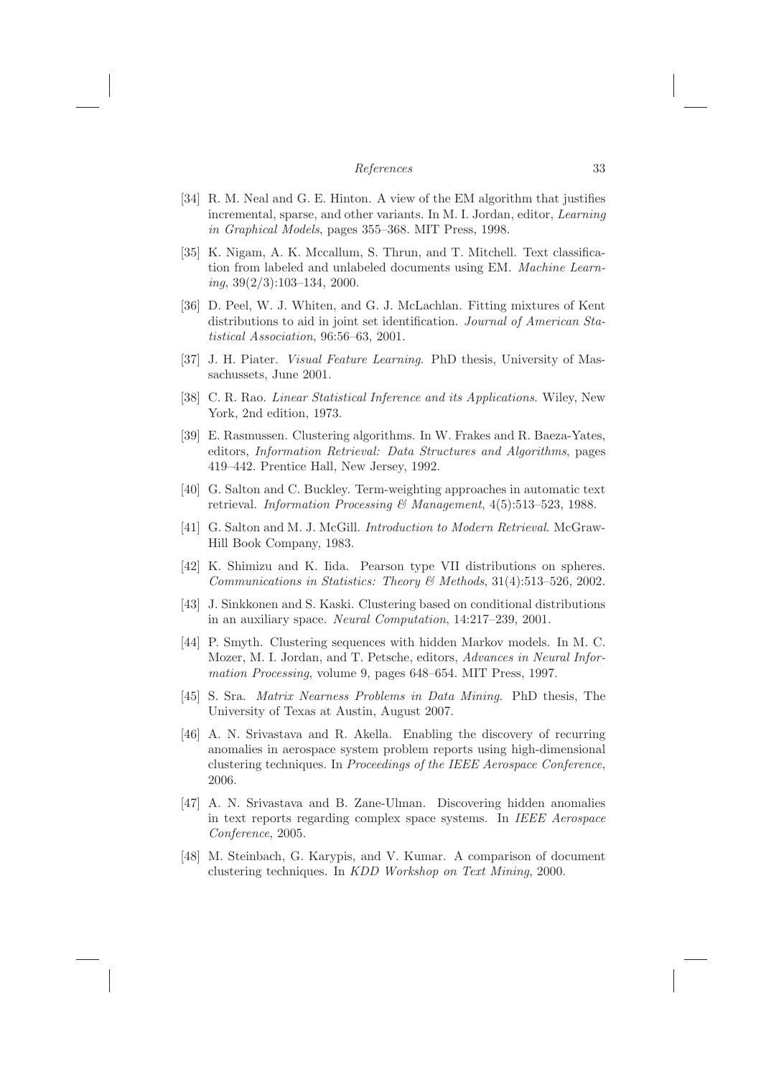- [34] R. M. Neal and G. E. Hinton. A view of the EM algorithm that justifies incremental, sparse, and other variants. In M. I. Jordan, editor, Learning in Graphical Models, pages 355–368. MIT Press, 1998.
- [35] K. Nigam, A. K. Mccallum, S. Thrun, and T. Mitchell. Text classification from labeled and unlabeled documents using EM. Machine Learn $inq$ , 39 $(2/3):103-134$ , 2000.
- [36] D. Peel, W. J. Whiten, and G. J. McLachlan. Fitting mixtures of Kent distributions to aid in joint set identification. Journal of American Statistical Association, 96:56–63, 2001.
- [37] J. H. Piater. Visual Feature Learning. PhD thesis, University of Massachussets, June 2001.
- [38] C. R. Rao. Linear Statistical Inference and its Applications. Wiley, New York, 2nd edition, 1973.
- [39] E. Rasmussen. Clustering algorithms. In W. Frakes and R. Baeza-Yates, editors, Information Retrieval: Data Structures and Algorithms, pages 419–442. Prentice Hall, New Jersey, 1992.
- [40] G. Salton and C. Buckley. Term-weighting approaches in automatic text retrieval. Information Processing & Management,  $4(5):513-523$ , 1988.
- [41] G. Salton and M. J. McGill. Introduction to Modern Retrieval. McGraw-Hill Book Company, 1983.
- [42] K. Shimizu and K. Iida. Pearson type VII distributions on spheres. Communications in Statistics: Theory & Methods, 31(4):513–526, 2002.
- [43] J. Sinkkonen and S. Kaski. Clustering based on conditional distributions in an auxiliary space. Neural Computation, 14:217–239, 2001.
- [44] P. Smyth. Clustering sequences with hidden Markov models. In M. C. Mozer, M. I. Jordan, and T. Petsche, editors, Advances in Neural Information Processing, volume 9, pages 648–654. MIT Press, 1997.
- [45] S. Sra. Matrix Nearness Problems in Data Mining. PhD thesis, The University of Texas at Austin, August 2007.
- [46] A. N. Srivastava and R. Akella. Enabling the discovery of recurring anomalies in aerospace system problem reports using high-dimensional clustering techniques. In Proceedings of the IEEE Aerospace Conference, 2006.
- [47] A. N. Srivastava and B. Zane-Ulman. Discovering hidden anomalies in text reports regarding complex space systems. In IEEE Aerospace Conference, 2005.
- [48] M. Steinbach, G. Karypis, and V. Kumar. A comparison of document clustering techniques. In KDD Workshop on Text Mining, 2000.